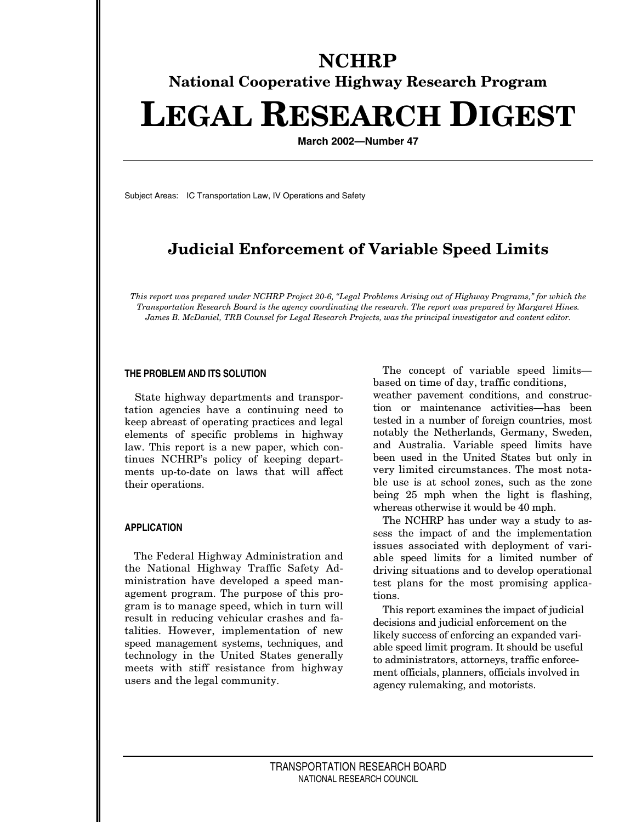# **NCHRP National Cooperative Highway Research Program LEGAL RESEARCH DIGEST**

**March 2002—Number 47**

Subject Areas: IC Transportation Law, IV Operations and Safety

# **Judicial Enforcement of Variable Speed Limits**

*This report was prepared under NCHRP Project 20-6, "Legal Problems Arising out of Highway Programs," for which the Transportation Research Board is the agency coordinating the research. The report was prepared by Margaret Hines. James B. McDaniel, TRB Counsel for Legal Research Projects, was the principal investigator and content editor.*

#### **THE PROBLEM AND ITS SOLUTION**

State highway departments and transportation agencies have a continuing need to keep abreast of operating practices and legal elements of specific problems in highway law. This report is a new paper, which continues NCHRP's policy of keeping departments up-to-date on laws that will affect their operations.

# **APPLICATION**

The Federal Highway Administration and the National Highway Traffic Safety Administration have developed a speed management program. The purpose of this program is to manage speed, which in turn will result in reducing vehicular crashes and fatalities. However, implementation of new speed management systems, techniques, and technology in the United States generally meets with stiff resistance from highway users and the legal community.

The concept of variable speed limits based on time of day, traffic conditions,

weather pavement conditions, and construction or maintenance activities—has been tested in a number of foreign countries, most notably the Netherlands, Germany, Sweden, and Australia. Variable speed limits have been used in the United States but only in very limited circumstances. The most notable use is at school zones, such as the zone being 25 mph when the light is flashing, whereas otherwise it would be 40 mph.

The NCHRP has under way a study to assess the impact of and the implementation issues associated with deployment of variable speed limits for a limited number of driving situations and to develop operational test plans for the most promising applications.

This report examines the impact of judicial decisions and judicial enforcement on the likely success of enforcing an expanded variable speed limit program. It should be useful to administrators, attorneys, traffic enforcement officials, planners, officials involved in agency rulemaking, and motorists.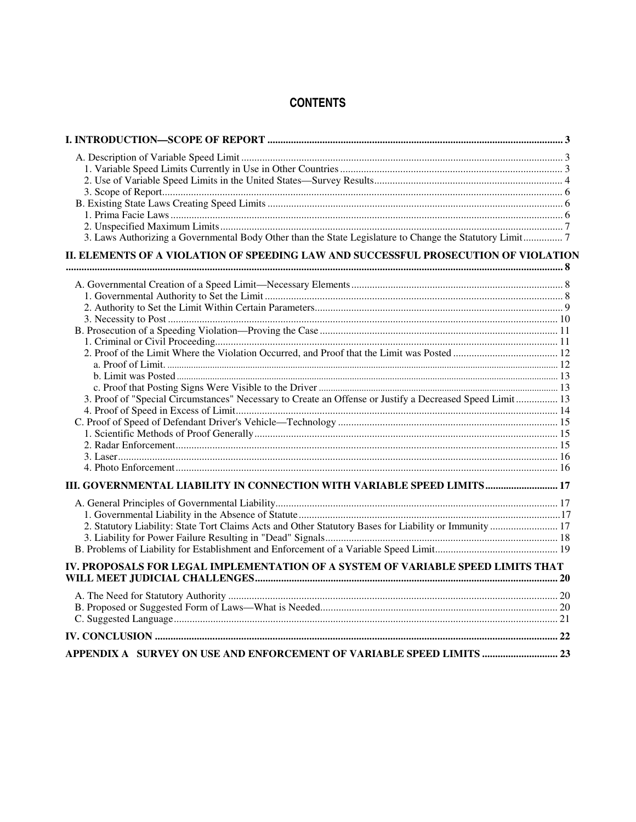# **CONTENTS**

| 3. Laws Authorizing a Governmental Body Other than the State Legislature to Change the Statutory Limit7  |  |  |
|----------------------------------------------------------------------------------------------------------|--|--|
| II. ELEMENTS OF A VIOLATION OF SPEEDING LAW AND SUCCESSFUL PROSECUTION OF VIOLATION                      |  |  |
|                                                                                                          |  |  |
|                                                                                                          |  |  |
|                                                                                                          |  |  |
|                                                                                                          |  |  |
|                                                                                                          |  |  |
|                                                                                                          |  |  |
|                                                                                                          |  |  |
|                                                                                                          |  |  |
|                                                                                                          |  |  |
|                                                                                                          |  |  |
| 3. Proof of "Special Circumstances" Necessary to Create an Offense or Justify a Decreased Speed Limit 13 |  |  |
|                                                                                                          |  |  |
|                                                                                                          |  |  |
|                                                                                                          |  |  |
|                                                                                                          |  |  |
|                                                                                                          |  |  |
| III. GOVERNMENTAL LIABILITY IN CONNECTION WITH VARIABLE SPEED LIMITS 17                                  |  |  |
|                                                                                                          |  |  |
|                                                                                                          |  |  |
|                                                                                                          |  |  |
| 2. Statutory Liability: State Tort Claims Acts and Other Statutory Bases for Liability or Immunity  17   |  |  |
|                                                                                                          |  |  |
|                                                                                                          |  |  |
| IV. PROPOSALS FOR LEGAL IMPLEMENTATION OF A SYSTEM OF VARIABLE SPEED LIMITS THAT                         |  |  |
|                                                                                                          |  |  |
|                                                                                                          |  |  |
|                                                                                                          |  |  |
|                                                                                                          |  |  |
| APPENDIX A SURVEY ON USE AND ENFORCEMENT OF VARIABLE SPEED LIMITS  23                                    |  |  |
|                                                                                                          |  |  |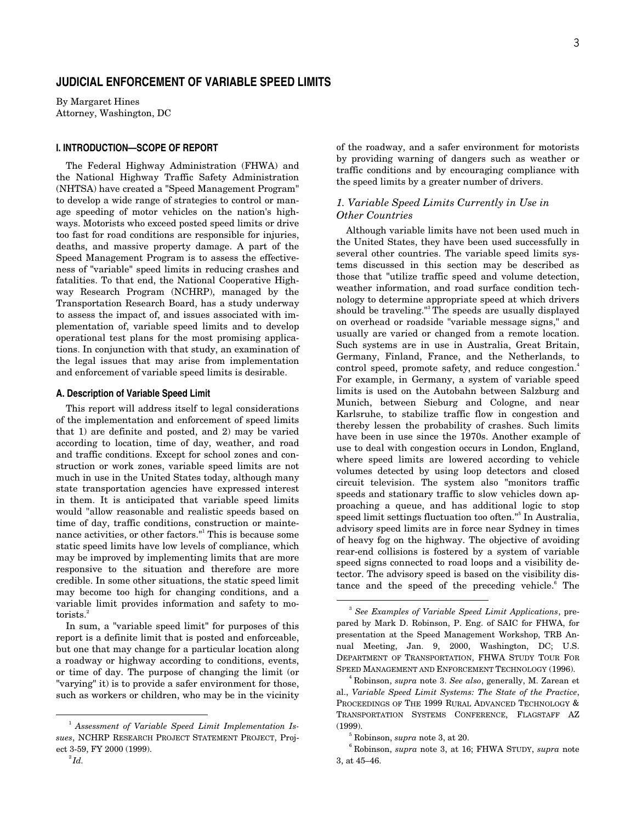# **JUDICIAL ENFORCEMENT OF VARIABLE SPEED LIMITS**

By Margaret Hines Attorney, Washington, DC

# **I. INTRODUCTION—SCOPE OF REPORT**

The Federal Highway Administration (FHWA) and the National Highway Traffic Safety Administration (NHTSA) have created a "Speed Management Program" to develop a wide range of strategies to control or manage speeding of motor vehicles on the nation's highways. Motorists who exceed posted speed limits or drive too fast for road conditions are responsible for injuries, deaths, and massive property damage. A part of the Speed Management Program is to assess the effectiveness of "variable" speed limits in reducing crashes and fatalities. To that end, the National Cooperative Highway Research Program (NCHRP), managed by the Transportation Research Board, has a study underway to assess the impact of, and issues associated with implementation of, variable speed limits and to develop operational test plans for the most promising applications. In conjunction with that study, an examination of the legal issues that may arise from implementation and enforcement of variable speed limits is desirable.

#### **A. Description of Variable Speed Limit**

This report will address itself to legal considerations of the implementation and enforcement of speed limits that 1) are definite and posted, and 2) may be varied according to location, time of day, weather, and road and traffic conditions. Except for school zones and construction or work zones, variable speed limits are not much in use in the United States today, although many state transportation agencies have expressed interest in them. It is anticipated that variable speed limits would "allow reasonable and realistic speeds based on time of day, traffic conditions, construction or maintenance activities, or other factors."<sup>1</sup> This is because some static speed limits have low levels of compliance, which may be improved by implementing limits that are more responsive to the situation and therefore are more credible. In some other situations, the static speed limit may become too high for changing conditions, and a variable limit provides information and safety to motorists.<sup>2</sup>

In sum, a "variable speed limit" for purposes of this report is a definite limit that is posted and enforceable, but one that may change for a particular location along a roadway or highway according to conditions, events, or time of day. The purpose of changing the limit (or "varying" it) is to provide a safer environment for those, such as workers or children, who may be in the vicinity

of the roadway, and a safer environment for motorists by providing warning of dangers such as weather or traffic conditions and by encouraging compliance with the speed limits by a greater number of drivers.

# *1. Variable Speed Limits Currently in Use in Other Countries*

Although variable limits have not been used much in the United States, they have been used successfully in several other countries. The variable speed limits systems discussed in this section may be described as those that "utilize traffic speed and volume detection, weather information, and road surface condition technology to determine appropriate speed at which drivers should be traveling."<sup>3</sup> The speeds are usually displayed on overhead or roadside "variable message signs," and usually are varied or changed from a remote location. Such systems are in use in Australia, Great Britain, Germany, Finland, France, and the Netherlands, to control speed, promote safety, and reduce congestion.<sup>4</sup> For example, in Germany, a system of variable speed limits is used on the Autobahn between Salzburg and Munich, between Sieburg and Cologne, and near Karlsruhe, to stabilize traffic flow in congestion and thereby lessen the probability of crashes. Such limits have been in use since the 1970s. Another example of use to deal with congestion occurs in London, England, where speed limits are lowered according to vehicle volumes detected by using loop detectors and closed circuit television. The system also "monitors traffic speeds and stationary traffic to slow vehicles down approaching a queue, and has additional logic to stop speed limit settings fluctuation too often."<sup>5</sup> In Australia, advisory speed limits are in force near Sydney in times of heavy fog on the highway. The objective of avoiding rear-end collisions is fostered by a system of variable speed signs connected to road loops and a visibility detector. The advisory speed is based on the visibility distance and the speed of the preceding vehicle.<sup>6</sup> The

 $\overline{\phantom{0}}$ <sub>1</sub> *Assessment of Variable Speed Limit Implementation Issues*, NCHRP RESEARCH PROJECT STATEMENT PROJECT, Project 3-59, FY 2000 (1999).

 $\overline{\phantom{0}}$ <sub>3</sub> *See Examples of Variable Speed Limit Applications*, prepared by Mark D. Robinson, P. Eng. of SAIC for FHWA, for presentation at the Speed Management Workshop, TRB Annual Meeting, Jan. 9, 2000, Washington, DC; U.S. DEPARTMENT OF TRANSPORTATION, FHWA STUDY TOUR FOR SPEED MANAGEMENT AND ENFORCEMENT TECHNOLOGY (1996).

<sup>4</sup> Robinson, *supra* note 3. *See also*, generally, M. Zarean et al., *Variable Speed Limit Systems: The State of the Practice*, PROCEEDINGS OF THE 1999 RURAL ADVANCED TECHNOLOGY & TRANSPORTATION SYSTEMS CONFERENCE, FLAGSTAFF AZ (1999).

<sup>5</sup> Robinson, *supra* note 3, at 20.

<sup>6</sup> Robinson, *supra* note 3, at 16; FHWA STUDY, *supra* note 3, at 45–46.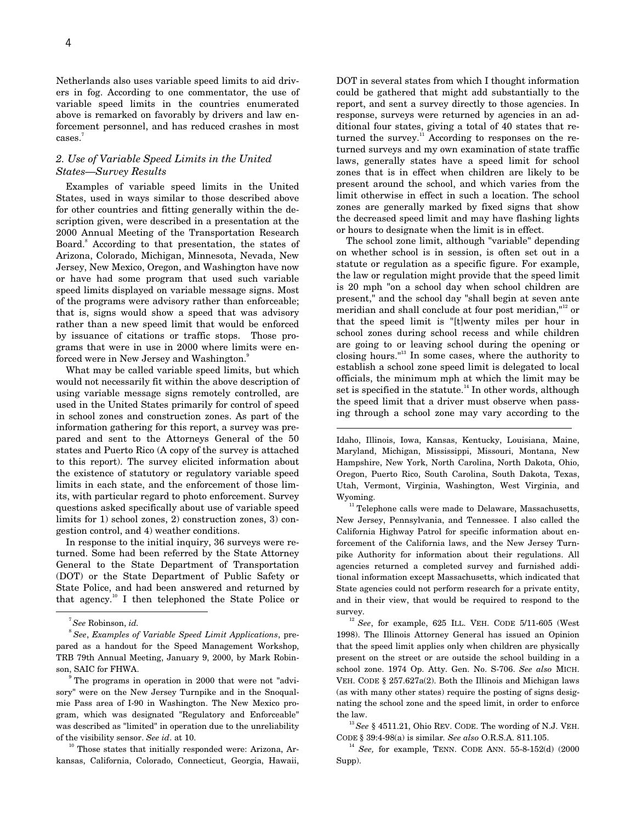Netherlands also uses variable speed limits to aid drivers in fog. According to one commentator, the use of variable speed limits in the countries enumerated above is remarked on favorably by drivers and law enforcement personnel, and has reduced crashes in most cases.<sup>7</sup>

# *2. Use of Variable Speed Limits in the United States—Survey Results*

Examples of variable speed limits in the United States, used in ways similar to those described above for other countries and fitting generally within the description given, were described in a presentation at the 2000 Annual Meeting of the Transportation Research Board.<sup>8</sup> According to that presentation, the states of Arizona, Colorado, Michigan, Minnesota, Nevada, New Jersey, New Mexico, Oregon, and Washington have now or have had some program that used such variable speed limits displayed on variable message signs. Most of the programs were advisory rather than enforceable; that is, signs would show a speed that was advisory rather than a new speed limit that would be enforced by issuance of citations or traffic stops. Those programs that were in use in 2000 where limits were enforced were in New Jersey and Washington.<sup>9</sup>

What may be called variable speed limits, but which would not necessarily fit within the above description of using variable message signs remotely controlled, are used in the United States primarily for control of speed in school zones and construction zones. As part of the information gathering for this report, a survey was prepared and sent to the Attorneys General of the 50 states and Puerto Rico (A copy of the survey is attached to this report). The survey elicited information about the existence of statutory or regulatory variable speed limits in each state, and the enforcement of those limits, with particular regard to photo enforcement. Survey questions asked specifically about use of variable speed limits for 1) school zones, 2) construction zones, 3) congestion control, and 4) weather conditions.

In response to the initial inquiry, 36 surveys were returned. Some had been referred by the State Attorney General to the State Department of Transportation (DOT) or the State Department of Public Safety or State Police, and had been answered and returned by that agency.10 I then telephoned the State Police or

<sup>9</sup> The programs in operation in 2000 that were not "advisory" were on the New Jersey Turnpike and in the Snoqualmie Pass area of I-90 in Washington. The New Mexico program, which was designated "Regulatory and Enforceable" was described as "limited" in operation due to the unreliability of the visibility sensor. *See id*. at 10.

 $10$ <sup>10</sup> Those states that initially responded were: Arizona, Arkansas, California, Colorado, Connecticut, Georgia, Hawaii, DOT in several states from which I thought information could be gathered that might add substantially to the report, and sent a survey directly to those agencies. In response, surveys were returned by agencies in an additional four states, giving a total of 40 states that returned the survey.<sup>11</sup> According to responses on the returned surveys and my own examination of state traffic laws, generally states have a speed limit for school zones that is in effect when children are likely to be present around the school, and which varies from the limit otherwise in effect in such a location. The school zones are generally marked by fixed signs that show the decreased speed limit and may have flashing lights or hours to designate when the limit is in effect.

The school zone limit, although "variable" depending on whether school is in session, is often set out in a statute or regulation as a specific figure. For example, the law or regulation might provide that the speed limit is 20 mph "on a school day when school children are present," and the school day "shall begin at seven ante meridian and shall conclude at four post meridian,"<sup>12</sup> or that the speed limit is "[t]wenty miles per hour in school zones during school recess and while children are going to or leaving school during the opening or closing hours."13 In some cases, where the authority to establish a school zone speed limit is delegated to local officials, the minimum mph at which the limit may be set is specified in the statute.<sup>14</sup> In other words, although the speed limit that a driver must observe when passing through a school zone may vary according to the

Idaho, Illinois, Iowa, Kansas, Kentucky, Louisiana, Maine, Maryland, Michigan, Mississippi, Missouri, Montana, New Hampshire, New York, North Carolina, North Dakota, Ohio, Oregon, Puerto Rico, South Carolina, South Dakota, Texas, Utah, Vermont, Virginia, Washington, West Virginia, and Wyoming.

 $\overline{a}$ 

<sup>11</sup> Telephone calls were made to Delaware, Massachusetts, New Jersey, Pennsylvania, and Tennessee. I also called the California Highway Patrol for specific information about enforcement of the California laws, and the New Jersey Turnpike Authority for information about their regulations. All agencies returned a completed survey and furnished additional information except Massachusetts, which indicated that State agencies could not perform research for a private entity, and in their view, that would be required to respond to the survey.

<sup>12</sup> See, for example, 625 ILL. VEH. CODE 5/11-605 (West 1998). The Illinois Attorney General has issued an Opinion that the speed limit applies only when children are physically present on the street or are outside the school building in a school zone. 1974 Op. Atty. Gen. No. S-706. *See also* MICH. VEH. CODE § 257.627a(2). Both the Illinois and Michigan laws (as with many other states) require the posting of signs designating the school zone and the speed limit, in order to enforce the law.

<sup>13</sup>*See* § 4511.21, Ohio REV. CODE. The wording of N.J. VEH. CODE § 39:4-98(a) is similar*. See also* O.R.S.A. 811.105.

<sup>14</sup> *See,* for example, TENN. CODE ANN. 55-8-152(d) (2000 Supp).

 <sup>7</sup> *See* Robinson, *id.*

<sup>8</sup>*See*, *Examples of Variable Speed Limit Applications*, prepared as a handout for the Speed Management Workshop, TRB 79th Annual Meeting, January 9, 2000, by Mark Robinson, SAIC for FHWA.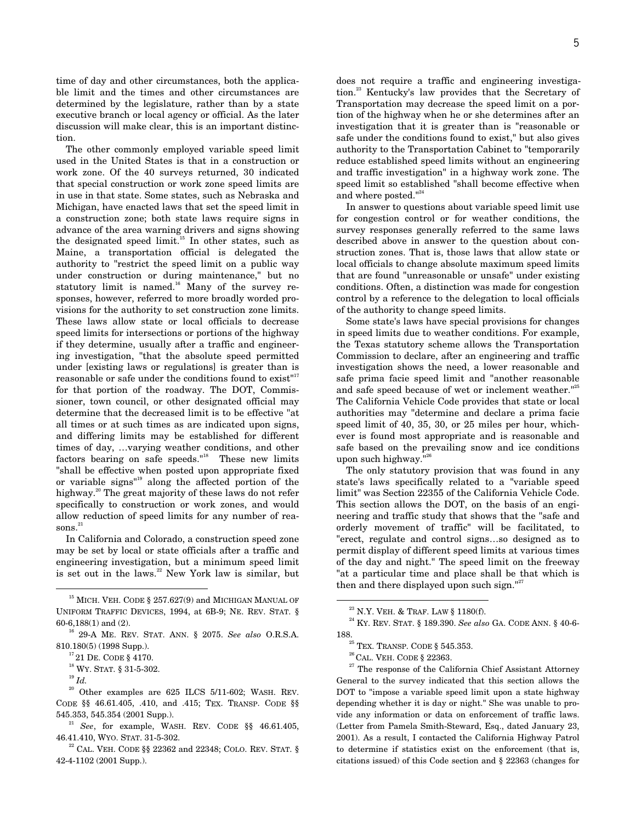time of day and other circumstances, both the applicable limit and the times and other circumstances are determined by the legislature, rather than by a state executive branch or local agency or official. As the later discussion will make clear, this is an important distinction.

The other commonly employed variable speed limit used in the United States is that in a construction or work zone. Of the 40 surveys returned, 30 indicated that special construction or work zone speed limits are in use in that state. Some states, such as Nebraska and Michigan, have enacted laws that set the speed limit in a construction zone; both state laws require signs in advance of the area warning drivers and signs showing the designated speed limit.<sup>15</sup> In other states, such as Maine, a transportation official is delegated the authority to "restrict the speed limit on a public way under construction or during maintenance," but no statutory limit is named. $^{16}$  Many of the survey responses, however, referred to more broadly worded provisions for the authority to set construction zone limits. These laws allow state or local officials to decrease speed limits for intersections or portions of the highway if they determine, usually after a traffic and engineering investigation, "that the absolute speed permitted under [existing laws or regulations] is greater than is reasonable or safe under the conditions found to exist<sup>"17</sup> for that portion of the roadway. The DOT, Commissioner, town council, or other designated official may determine that the decreased limit is to be effective "at all times or at such times as are indicated upon signs, and differing limits may be established for different times of day, …varying weather conditions, and other factors bearing on safe speeds."<sup>18</sup> These new limits "shall be effective when posted upon appropriate fixed or variable signs"19 along the affected portion of the highway.<sup>20</sup> The great majority of these laws do not refer specifically to construction or work zones, and would allow reduction of speed limits for any number of rea $sons.<sup>21</sup>$ 

In California and Colorado, a construction speed zone may be set by local or state officials after a traffic and engineering investigation, but a minimum speed limit is set out in the laws. $^{22}$  New York law is similar, but

 $20$  Other examples are 625 ILCS 5/11-602; WASH. REV. CODE §§ 46.61.405, .410, and .415; TEX. TRANSP. CODE §§ 545.353, 545.354 (2001 Supp.).

does not require a traffic and engineering investigation.23 Kentucky's law provides that the Secretary of Transportation may decrease the speed limit on a portion of the highway when he or she determines after an investigation that it is greater than is "reasonable or safe under the conditions found to exist," but also gives authority to the Transportation Cabinet to "temporarily reduce established speed limits without an engineering and traffic investigation" in a highway work zone. The speed limit so established "shall become effective when and where posted."<sup>24</sup>

In answer to questions about variable speed limit use for congestion control or for weather conditions, the survey responses generally referred to the same laws described above in answer to the question about construction zones. That is, those laws that allow state or local officials to change absolute maximum speed limits that are found "unreasonable or unsafe" under existing conditions. Often, a distinction was made for congestion control by a reference to the delegation to local officials of the authority to change speed limits.

Some state's laws have special provisions for changes in speed limits due to weather conditions. For example, the Texas statutory scheme allows the Transportation Commission to declare, after an engineering and traffic investigation shows the need, a lower reasonable and safe prima facie speed limit and "another reasonable and safe speed because of wet or inclement weather."<sup>25</sup> The California Vehicle Code provides that state or local authorities may "determine and declare a prima facie speed limit of 40, 35, 30, or 25 miles per hour, whichever is found most appropriate and is reasonable and safe based on the prevailing snow and ice conditions upon such highway."<sup>26</sup>

The only statutory provision that was found in any state's laws specifically related to a "variable speed limit" was Section 22355 of the California Vehicle Code. This section allows the DOT, on the basis of an engineering and traffic study that shows that the "safe and orderly movement of traffic" will be facilitated, to "erect, regulate and control signs…so designed as to permit display of different speed limits at various times of the day and night." The speed limit on the freeway "at a particular time and place shall be that which is then and there displayed upon such sign."<sup>27</sup>

 $27$  The response of the California Chief Assistant Attorney General to the survey indicated that this section allows the DOT to "impose a variable speed limit upon a state highway depending whether it is day or night." She was unable to provide any information or data on enforcement of traffic laws. (Letter from Pamela Smith-Steward, Esq., dated January 23, 2001). As a result, I contacted the California Highway Patrol to determine if statistics exist on the enforcement (that is, citations issued) of this Code section and § 22363 (changes for

 $^{15}$  MICH. VEH. CODE  $\mathcal{\S}$  257.627(9) and MICHIGAN MANUAL OF UNIFORM TRAFFIC DEVICES, 1994, at 6B-9; NE. REV. STAT. § 60-6,188(1) and (2).

<sup>16 29-</sup>A ME. REV. STAT. ANN. § 2075. *See also* O.R.S.A. 810.180(5) (1998 Supp.).

 $^{17}$  21 De. CODE  $\mathcal{\S}$  4170.

 $^{18}$  Wy. STAT.  $\S$  31-5-302.

<sup>19</sup> *Id.*

<sup>21</sup> *See*, for example, WASH. REV. CODE §§ 46.61.405, 46.41.410, WYO. STAT. 31-5-302.

 $^{22}$  CAL. VEH. CODE §§ 22362 and 22348; COLO. REV. STAT. § 42-4-1102 (2001 Supp.).

 $^{23}$  N.Y. VEH. & TRAF. LAW § 1180(f).

<sup>24</sup> KY. REV. STAT. § 189.390. *See also* GA. CODE ANN. § 40-6- 188.  $^{25}$  Tex. Transp. Code  $\S$  545.353.

 $^{26}$  CAL. VEH. CODE  $\S$  22363.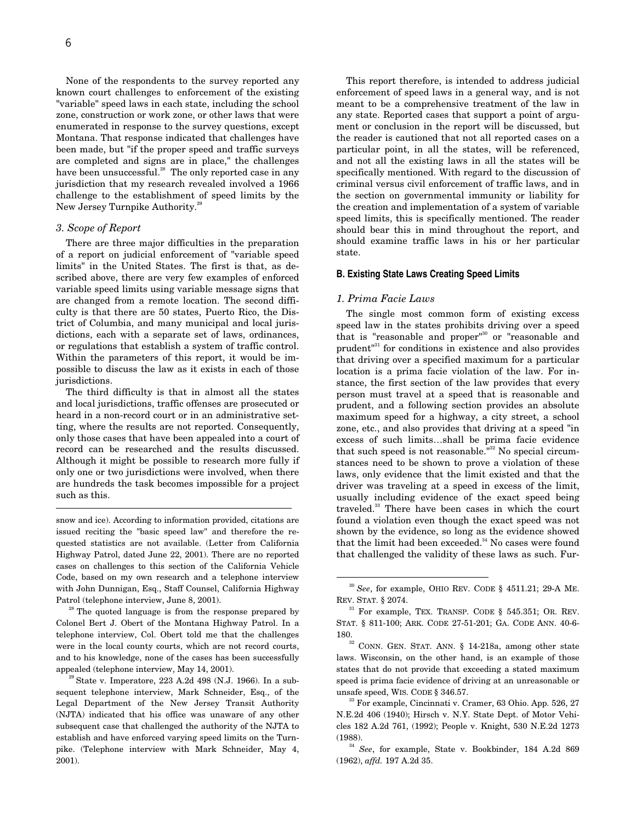None of the respondents to the survey reported any known court challenges to enforcement of the existing "variable" speed laws in each state, including the school zone, construction or work zone, or other laws that were enumerated in response to the survey questions, except Montana. That response indicated that challenges have been made, but "if the proper speed and traffic surveys are completed and signs are in place," the challenges have been unsuccessful.<sup>28</sup> The only reported case in any jurisdiction that my research revealed involved a 1966 challenge to the establishment of speed limits by the New Jersey Turnpike Authority.<sup>29</sup>

# *3. Scope of Report*

-

There are three major difficulties in the preparation of a report on judicial enforcement of "variable speed limits" in the United States. The first is that, as described above, there are very few examples of enforced variable speed limits using variable message signs that are changed from a remote location. The second difficulty is that there are 50 states, Puerto Rico, the District of Columbia, and many municipal and local jurisdictions, each with a separate set of laws, ordinances, or regulations that establish a system of traffic control. Within the parameters of this report, it would be impossible to discuss the law as it exists in each of those jurisdictions.

The third difficulty is that in almost all the states and local jurisdictions, traffic offenses are prosecuted or heard in a non-record court or in an administrative setting, where the results are not reported. Consequently, only those cases that have been appealed into a court of record can be researched and the results discussed. Although it might be possible to research more fully if only one or two jurisdictions were involved, when there are hundreds the task becomes impossible for a project such as this.

snow and ice). According to information provided, citations are issued reciting the "basic speed law" and therefore the requested statistics are not available. (Letter from California Highway Patrol, dated June 22, 2001). There are no reported cases on challenges to this section of the California Vehicle Code, based on my own research and a telephone interview with John Dunnigan, Esq., Staff Counsel, California Highway Patrol (telephone interview, June 8, 2001).

<sup>28</sup> The quoted language is from the response prepared by Colonel Bert J. Obert of the Montana Highway Patrol. In a telephone interview, Col. Obert told me that the challenges were in the local county courts, which are not record courts, and to his knowledge, none of the cases has been successfully appealed (telephone interview, May 14, 2001).

 $^{29}$  State v. Imperatore, 223 A.2d 498 (N.J. 1966). In a subsequent telephone interview, Mark Schneider, Esq., of the Legal Department of the New Jersey Transit Authority (NJTA) indicated that his office was unaware of any other subsequent case that challenged the authority of the NJTA to establish and have enforced varying speed limits on the Turnpike. (Telephone interview with Mark Schneider, May 4, 2001).

This report therefore, is intended to address judicial enforcement of speed laws in a general way, and is not meant to be a comprehensive treatment of the law in any state. Reported cases that support a point of argument or conclusion in the report will be discussed, but the reader is cautioned that not all reported cases on a particular point, in all the states, will be referenced, and not all the existing laws in all the states will be specifically mentioned. With regard to the discussion of criminal versus civil enforcement of traffic laws, and in the section on governmental immunity or liability for the creation and implementation of a system of variable speed limits, this is specifically mentioned. The reader should bear this in mind throughout the report, and should examine traffic laws in his or her particular state.

#### **B. Existing State Laws Creating Speed Limits**

#### *1. Prima Facie Laws*

The single most common form of existing excess speed law in the states prohibits driving over a speed that is "reasonable and proper"30 or "reasonable and prudent"31 for conditions in existence and also provides that driving over a specified maximum for a particular location is a prima facie violation of the law. For instance, the first section of the law provides that every person must travel at a speed that is reasonable and prudent, and a following section provides an absolute maximum speed for a highway, a city street, a school zone, etc., and also provides that driving at a speed "in excess of such limits…shall be prima facie evidence that such speed is not reasonable.<sup> $n32$ </sup> No special circumstances need to be shown to prove a violation of these laws, only evidence that the limit existed and that the driver was traveling at a speed in excess of the limit, usually including evidence of the exact speed being traveled.33 There have been cases in which the court found a violation even though the exact speed was not shown by the evidence, so long as the evidence showed that the limit had been exceeded.<sup>34</sup> No cases were found that challenged the validity of these laws as such. Fur-

laws. Wisconsin, on the other hand, is an example of those states that do not provide that exceeding a stated maximum speed is prima facie evidence of driving at an unreasonable or unsafe speed, WIS. CODE § 346.57.

<sup>33</sup> For example, Cincinnati v. Cramer, 63 Ohio. App. 526, 27 N.E.2d 406 (1940); Hirsch v. N.Y. State Dept. of Motor Vehicles 182 A.2d 761, (1992); People v. Knight, 530 N.E.2d 1273 (1988).

<sup>34</sup> *See*, for example, State v. Bookbinder, 184 A.2d 869 (1962), *affd.* 197 A.2d 35.

 <sup>30</sup> *See*, for example, OHIO REV. CODE § 4511.21; 29-A ME. REV. STAT. § 2074.

<sup>&</sup>lt;sup>31</sup> For example, TEX. TRANSP. CODE § 545.351; OR. REV. STAT. § 811-100; ARK. CODE 27-51-201; GA. CODE ANN. 40-6- 180.<br><sup>32</sup> CONN. GEN. STAT. ANN. § 14-218a, among other state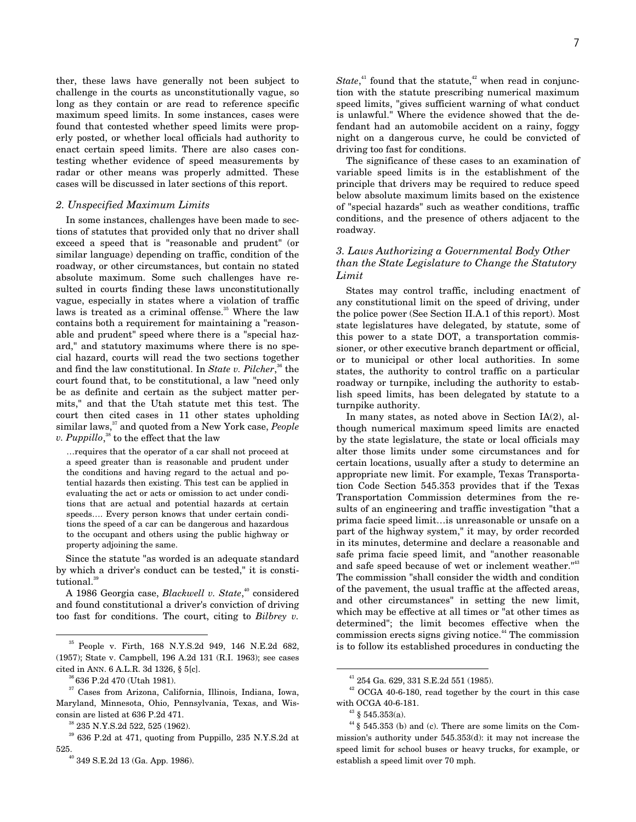ther, these laws have generally not been subject to challenge in the courts as unconstitutionally vague, so long as they contain or are read to reference specific maximum speed limits. In some instances, cases were found that contested whether speed limits were properly posted, or whether local officials had authority to enact certain speed limits. There are also cases contesting whether evidence of speed measurements by radar or other means was properly admitted. These cases will be discussed in later sections of this report.

## *2. Unspecified Maximum Limits*

In some instances, challenges have been made to sections of statutes that provided only that no driver shall exceed a speed that is "reasonable and prudent" (or similar language) depending on traffic, condition of the roadway, or other circumstances, but contain no stated absolute maximum. Some such challenges have resulted in courts finding these laws unconstitutionally vague, especially in states where a violation of traffic laws is treated as a criminal offense.<sup>35</sup> Where the law contains both a requirement for maintaining a "reasonable and prudent" speed where there is a "special hazard," and statutory maximums where there is no special hazard, courts will read the two sections together and find the law constitutional. In *State v. Pilcher*,<sup>36</sup> the court found that, to be constitutional, a law "need only be as definite and certain as the subject matter permits," and that the Utah statute met this test. The court then cited cases in 11 other states upholding similar laws,<sup>37</sup> and quoted from a New York case, *People v. Puppillo*, 38 to the effect that the law

…requires that the operator of a car shall not proceed at a speed greater than is reasonable and prudent under the conditions and having regard to the actual and potential hazards then existing. This test can be applied in evaluating the act or acts or omission to act under conditions that are actual and potential hazards at certain speeds…. Every person knows that under certain conditions the speed of a car can be dangerous and hazardous to the occupant and others using the public highway or property adjoining the same.

Since the statute "as worded is an adequate standard by which a driver's conduct can be tested," it is constitutional.<sup>39</sup>

A 1986 Georgia case, *Blackwell v. State*, 40 considered and found constitutional a driver's conviction of driving too fast for conditions. The court, citing to *Bilbrey v.*

 $State<sup>41</sup>$  found that the statute,<sup> $42$ </sup> when read in conjunction with the statute prescribing numerical maximum speed limits, "gives sufficient warning of what conduct is unlawful." Where the evidence showed that the defendant had an automobile accident on a rainy, foggy night on a dangerous curve, he could be convicted of driving too fast for conditions.

The significance of these cases to an examination of variable speed limits is in the establishment of the principle that drivers may be required to reduce speed below absolute maximum limits based on the existence of "special hazards" such as weather conditions, traffic conditions, and the presence of others adjacent to the roadway.

# *3. Laws Authorizing a Governmental Body Other than the State Legislature to Change the Statutory Limit*

States may control traffic, including enactment of any constitutional limit on the speed of driving, under the police power (See Section II.A.1 of this report). Most state legislatures have delegated, by statute, some of this power to a state DOT, a transportation commissioner, or other executive branch department or official, or to municipal or other local authorities. In some states, the authority to control traffic on a particular roadway or turnpike, including the authority to establish speed limits, has been delegated by statute to a turnpike authority.

In many states, as noted above in Section IA(2), although numerical maximum speed limits are enacted by the state legislature, the state or local officials may alter those limits under some circumstances and for certain locations, usually after a study to determine an appropriate new limit. For example, Texas Transportation Code Section 545.353 provides that if the Texas Transportation Commission determines from the results of an engineering and traffic investigation "that a prima facie speed limit…is unreasonable or unsafe on a part of the highway system," it may, by order recorded in its minutes, determine and declare a reasonable and safe prima facie speed limit, and "another reasonable and safe speed because of wet or inclement weather."<sup>43</sup> The commission "shall consider the width and condition of the pavement, the usual traffic at the affected areas, and other circumstances" in setting the new limit, which may be effective at all times or "at other times as determined"; the limit becomes effective when the commission erects signs giving notice.<sup>44</sup> The commission is to follow its established procedures in conducting the

 <sup>35</sup> People v. Firth, 168 N.Y.S.2d 949, 146 N.E.2d 682, (1957); State v. Campbell, 196 A.2d 131 (R.I. 1963); see cases cited in ANN. 6 A.L.R. 3d 1326, § 5[c].

<sup>36 636</sup> P.2d 470 (Utah 1981).

<sup>&</sup>lt;sup>37</sup> Cases from Arizona, California, Illinois, Indiana, Iowa, Maryland, Minnesota, Ohio, Pennsylvania, Texas, and Wisconsin are listed at 636 P.2d 471.

<sup>38 235</sup> N.Y.S.2d 522, 525 (1962).

<sup>39 636</sup> P.2d at 471, quoting from Puppillo, 235 N.Y.S.2d at  $^{\rm 40}$  349 S.E.2d 13 (Ga. App. 1986).

 <sup>41 254</sup> Ga. 629, 331 S.E.2d 551 (1985).

 $42$  OCGA 40-6-180, read together by the court in this case with OCGA 40-6-181.

 $43$  § 545.353(a).

<sup>44 § 545.353 (</sup>b) and (c). There are some limits on the Commission's authority under 545.353(d): it may not increase the speed limit for school buses or heavy trucks, for example, or establish a speed limit over 70 mph.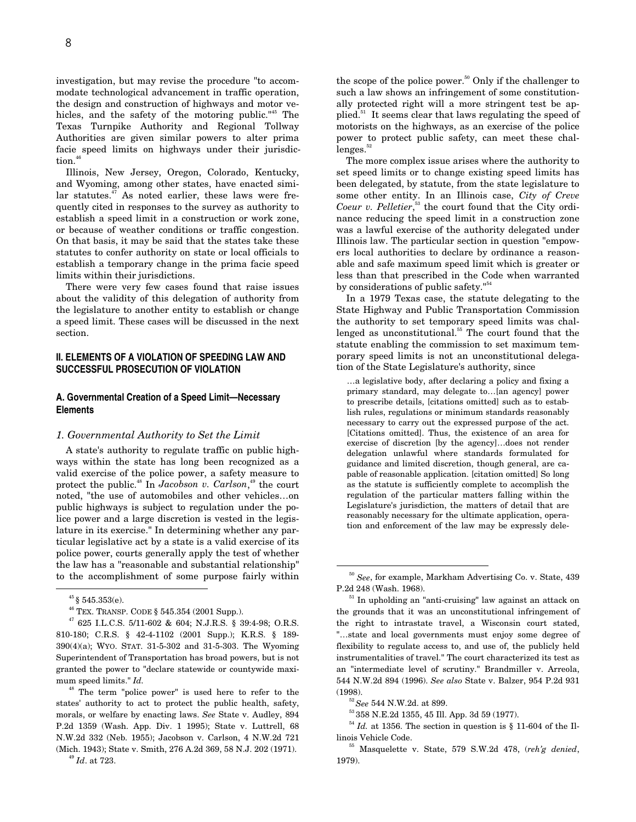investigation, but may revise the procedure "to accommodate technological advancement in traffic operation, the design and construction of highways and motor vehicles, and the safety of the motoring public."<sup>45</sup> The Texas Turnpike Authority and Regional Tollway Authorities are given similar powers to alter prima facie speed limits on highways under their jurisdiction.<sup>46</sup>

Illinois, New Jersey, Oregon, Colorado, Kentucky, and Wyoming, among other states, have enacted simi- $\text{lar}$  statutes.<sup>47</sup> As noted earlier, these laws were frequently cited in responses to the survey as authority to establish a speed limit in a construction or work zone, or because of weather conditions or traffic congestion. On that basis, it may be said that the states take these statutes to confer authority on state or local officials to establish a temporary change in the prima facie speed limits within their jurisdictions.

There were very few cases found that raise issues about the validity of this delegation of authority from the legislature to another entity to establish or change a speed limit. These cases will be discussed in the next section.

# **II. ELEMENTS OF A VIOLATION OF SPEEDING LAW AND SUCCESSFUL PROSECUTION OF VIOLATION**

#### **A. Governmental Creation of a Speed Limit—Necessary Elements**

#### *1. Governmental Authority to Set the Limit*

A state's authority to regulate traffic on public highways within the state has long been recognized as a valid exercise of the police power, a safety measure to protect the public.48 In *Jacobson v. Carlson*, 49 the court noted, "the use of automobiles and other vehicles…on public highways is subject to regulation under the police power and a large discretion is vested in the legislature in its exercise." In determining whether any particular legislative act by a state is a valid exercise of its police power, courts generally apply the test of whether the law has a "reasonable and substantial relationship" to the accomplishment of some purpose fairly within

48 The term "police power" is used here to refer to the states' authority to act to protect the public health, safety, morals, or welfare by enacting laws. *See* State v. Audley, 894 P.2d 1359 (Wash. App. Div. 1 1995); State v. Luttrell, 68 N.W.2d 332 (Neb. 1955); Jacobson v. Carlson, 4 N.W.2d 721 (Mich. 1943); State v. Smith, 276 A.2d 369, 58 N.J. 202 (1971).

the scope of the police power.<sup>50</sup> Only if the challenger to such a law shows an infringement of some constitutionally protected right will a more stringent test be applied.<sup>51</sup> It seems clear that laws regulating the speed of motorists on the highways, as an exercise of the police power to protect public safety, can meet these chal $l$ enges. $5$ 

The more complex issue arises where the authority to set speed limits or to change existing speed limits has been delegated, by statute, from the state legislature to some other entity. In an Illinois case, *City of Creve* Coeur v. Pelletier,<sup>53</sup> the court found that the City ordinance reducing the speed limit in a construction zone was a lawful exercise of the authority delegated under Illinois law. The particular section in question "empowers local authorities to declare by ordinance a reasonable and safe maximum speed limit which is greater or less than that prescribed in the Code when warranted by considerations of public safety."<sup>54</sup>

In a 1979 Texas case, the statute delegating to the State Highway and Public Transportation Commission the authority to set temporary speed limits was challenged as unconstitutional.<sup>55</sup> The court found that the statute enabling the commission to set maximum temporary speed limits is not an unconstitutional delegation of the State Legislature's authority, since

…a legislative body, after declaring a policy and fixing a primary standard, may delegate to…[an agency] power to prescribe details, [citations omitted] such as to establish rules, regulations or minimum standards reasonably necessary to carry out the expressed purpose of the act. [Citations omitted]. Thus, the existence of an area for exercise of discretion [by the agency]…does not render delegation unlawful where standards formulated for guidance and limited discretion, though general, are capable of reasonable application. [citation omitted] So long as the statute is sufficiently complete to accomplish the regulation of the particular matters falling within the Legislature's jurisdiction, the matters of detail that are reasonably necessary for the ultimate application, operation and enforcement of the law may be expressly dele-

 $^{45}$ § 545.353(e).

 $^{46}$  TEX. TRANSP. CODE  $\S$  545.354 (2001 Supp.).

<sup>47 625</sup> I.L.C.S. 5/11-602 & 604; N.J.R.S. § 39:4-98; O.R.S. 810-180; C.R.S. § 42-4-1102 (2001 Supp.); K.R.S. § 189- 390(4)(a); WYO. STAT. 31-5-302 and 31-5-303. The Wyoming Superintendent of Transportation has broad powers, but is not granted the power to "declare statewide or countywide maximum speed limits." *Id.*

<sup>49</sup> *Id*. at 723.

 <sup>50</sup> *See*, for example, Markham Advertising Co. v. State, 439 P.2d 248 (Wash. 1968).

<sup>&</sup>lt;sup>51</sup> In upholding an "anti-cruising" law against an attack on the grounds that it was an unconstitutional infringement of the right to intrastate travel, a Wisconsin court stated, "…state and local governments must enjoy some degree of flexibility to regulate access to, and use of, the publicly held instrumentalities of travel." The court characterized its test as an "intermediate level of scrutiny." Brandmiller v. Arreola, 544 N.W.2d 894 (1996). *See also* State v. Balzer, 954 P.2d 931 (1998).

<sup>52</sup>*See* 544 N.W.2d. at 899.

<sup>53 358</sup> N.E.2d 1355, 45 Ill. App. 3d 59 (1977).

 $54$  *Id.* at 1356. The section in question is § 11-604 of the Illinois Vehicle Code.

<sup>55</sup> Masquelette v. State, 579 S.W.2d 478, (*reh'g denied*, 1979).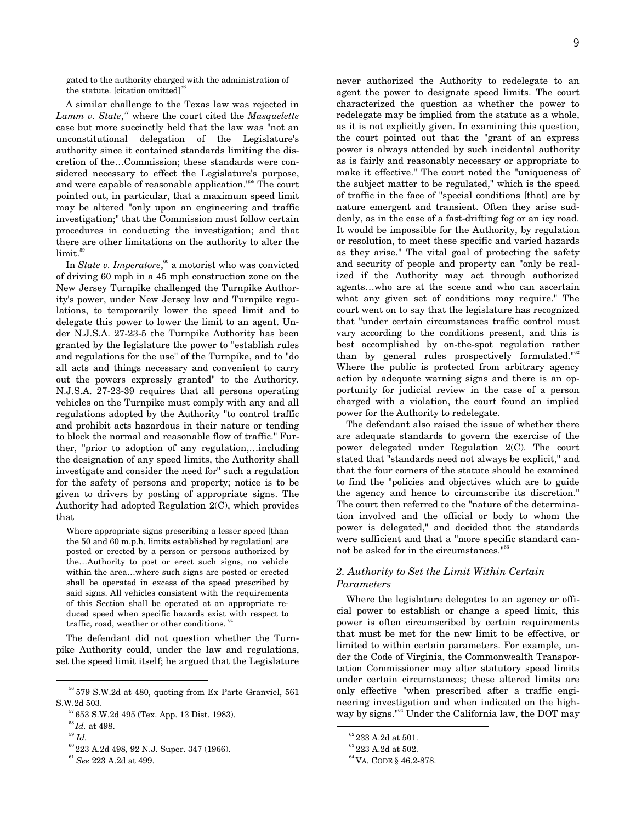gated to the authority charged with the administration of the statute. [citation omitted] $56$ 

A similar challenge to the Texas law was rejected in *Lamm v. State*, 57 where the court cited the *Masquelette* case but more succinctly held that the law was "not an unconstitutional delegation of the Legislature's authority since it contained standards limiting the discretion of the…Commission; these standards were considered necessary to effect the Legislature's purpose, and were capable of reasonable application."58 The court pointed out, in particular, that a maximum speed limit may be altered "only upon an engineering and traffic investigation;" that the Commission must follow certain procedures in conducting the investigation; and that there are other limitations on the authority to alter the limit.<sup>59</sup>

In *State v. Imperatore*, 60 a motorist who was convicted of driving 60 mph in a 45 mph construction zone on the New Jersey Turnpike challenged the Turnpike Authority's power, under New Jersey law and Turnpike regulations, to temporarily lower the speed limit and to delegate this power to lower the limit to an agent. Under N.J.S.A. 27-23-5 the Turnpike Authority has been granted by the legislature the power to "establish rules and regulations for the use" of the Turnpike, and to "do all acts and things necessary and convenient to carry out the powers expressly granted" to the Authority. N.J.S.A. 27-23-39 requires that all persons operating vehicles on the Turnpike must comply with any and all regulations adopted by the Authority "to control traffic and prohibit acts hazardous in their nature or tending to block the normal and reasonable flow of traffic." Further, "prior to adoption of any regulation,…including the designation of any speed limits, the Authority shall investigate and consider the need for" such a regulation for the safety of persons and property; notice is to be given to drivers by posting of appropriate signs. The Authority had adopted Regulation 2(C), which provides that

Where appropriate signs prescribing a lesser speed [than the 50 and 60 m.p.h. limits established by regulation] are posted or erected by a person or persons authorized by the…Authority to post or erect such signs, no vehicle within the area…where such signs are posted or erected shall be operated in excess of the speed prescribed by said signs. All vehicles consistent with the requirements of this Section shall be operated at an appropriate reduced speed when specific hazards exist with respect to traffic, road, weather or other conditions.<sup>61</sup>

The defendant did not question whether the Turnpike Authority could, under the law and regulations, set the speed limit itself; he argued that the Legislature

never authorized the Authority to redelegate to an agent the power to designate speed limits. The court characterized the question as whether the power to redelegate may be implied from the statute as a whole, as it is not explicitly given. In examining this question, the court pointed out that the "grant of an express power is always attended by such incidental authority as is fairly and reasonably necessary or appropriate to make it effective." The court noted the "uniqueness of the subject matter to be regulated," which is the speed of traffic in the face of "special conditions [that] are by nature emergent and transient. Often they arise suddenly, as in the case of a fast-drifting fog or an icy road. It would be impossible for the Authority, by regulation or resolution, to meet these specific and varied hazards as they arise." The vital goal of protecting the safety and security of people and property can "only be realized if the Authority may act through authorized agents…who are at the scene and who can ascertain what any given set of conditions may require." The court went on to say that the legislature has recognized that "under certain circumstances traffic control must vary according to the conditions present, and this is best accomplished by on-the-spot regulation rather than by general rules prospectively formulated."<sup>62</sup> Where the public is protected from arbitrary agency action by adequate warning signs and there is an opportunity for judicial review in the case of a person charged with a violation, the court found an implied power for the Authority to redelegate.

The defendant also raised the issue of whether there are adequate standards to govern the exercise of the power delegated under Regulation 2(C). The court stated that "standards need not always be explicit," and that the four corners of the statute should be examined to find the "policies and objectives which are to guide the agency and hence to circumscribe its discretion." The court then referred to the "nature of the determination involved and the official or body to whom the power is delegated," and decided that the standards were sufficient and that a "more specific standard cannot be asked for in the circumstances."<sup>63</sup>

# *2. Authority to Set the Limit Within Certain Parameters*

Where the legislature delegates to an agency or official power to establish or change a speed limit, this power is often circumscribed by certain requirements that must be met for the new limit to be effective, or limited to within certain parameters. For example, under the Code of Virginia, the Commonwealth Transportation Commissioner may alter statutory speed limits under certain circumstances; these altered limits are only effective "when prescribed after a traffic engineering investigation and when indicated on the highway by signs."64 Under the California law, the DOT may

 <sup>56 579</sup> S.W.2d at 480, quoting from Ex Parte Granviel, 561 S.W.2d 503.

 $^{57}\,$  653 S.W.2d 495 (Tex. App. 13 Dist. 1983).

 $\,$   $58}$   $\!Id.$  at 498.

<sup>59</sup> *Id.*

 $^{60}$  223 A.2d 498, 92 N.J. Super. 347 (1966).

<sup>61</sup> *See* 223 A.2d at 499.

 $\rm ^{62}233$  A.2d at 501.

<sup>&</sup>lt;sup>63</sup> 223 A.2d at 502.

<sup>64</sup> VA. CODE § 46.2-878.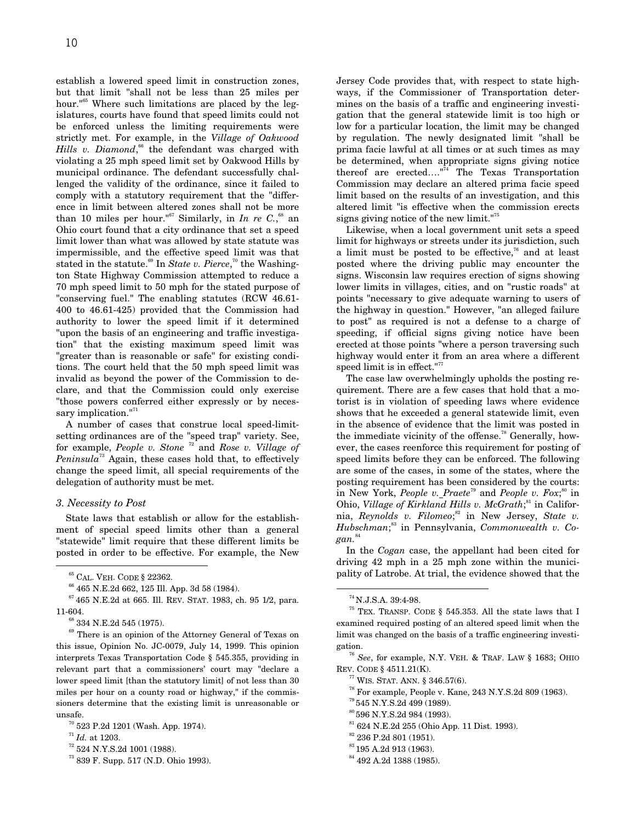establish a lowered speed limit in construction zones, but that limit "shall not be less than 25 miles per hour."65 Where such limitations are placed by the legislatures, courts have found that speed limits could not be enforced unless the limiting requirements were strictly met. For example, in the *Village of Oakwood* Hills v. Diamond,<sup>66</sup> the defendant was charged with violating a 25 mph speed limit set by Oakwood Hills by municipal ordinance. The defendant successfully challenged the validity of the ordinance, since it failed to comply with a statutory requirement that the "difference in limit between altered zones shall not be more than 10 miles per hour."<sup>67</sup> Similarly, in *In re C.*, <sup>68</sup> an Ohio court found that a city ordinance that set a speed limit lower than what was allowed by state statute was impermissible, and the effective speed limit was that stated in the statute.<sup>69</sup> In *State v. Pierce*,<sup>70</sup> the Washington State Highway Commission attempted to reduce a 70 mph speed limit to 50 mph for the stated purpose of "conserving fuel." The enabling statutes (RCW 46.61- 400 to 46.61-425) provided that the Commission had authority to lower the speed limit if it determined "upon the basis of an engineering and traffic investigation" that the existing maximum speed limit was "greater than is reasonable or safe" for existing conditions. The court held that the 50 mph speed limit was invalid as beyond the power of the Commission to declare, and that the Commission could only exercise "those powers conferred either expressly or by necessary implication."<sup>71</sup>

A number of cases that construe local speed-limitsetting ordinances are of the "speed trap" variety. See, for example, *People v. Stone* 72 and *Rose v. Village of Peninsula*73 Again, these cases hold that, to effectively change the speed limit, all special requirements of the delegation of authority must be met.

#### *3. Necessity to Post*

State laws that establish or allow for the establishment of special speed limits other than a general "statewide" limit require that these different limits be posted in order to be effective. For example, the New Jersey Code provides that, with respect to state highways, if the Commissioner of Transportation determines on the basis of a traffic and engineering investigation that the general statewide limit is too high or low for a particular location, the limit may be changed by regulation. The newly designated limit "shall be prima facie lawful at all times or at such times as may be determined, when appropriate signs giving notice thereof are erected...." $\frac{1}{14}$  The Texas Transportation Commission may declare an altered prima facie speed limit based on the results of an investigation, and this altered limit "is effective when the commission erects signs giving notice of the new limit."75

Likewise, when a local government unit sets a speed limit for highways or streets under its jurisdiction, such a limit must be posted to be effective, $76$  and at least posted where the driving public may encounter the signs. Wisconsin law requires erection of signs showing lower limits in villages, cities, and on "rustic roads" at points "necessary to give adequate warning to users of the highway in question." However, "an alleged failure to post" as required is not a defense to a charge of speeding, if official signs giving notice have been erected at those points "where a person traversing such highway would enter it from an area where a different speed limit is in effect." $77$ 

The case law overwhelmingly upholds the posting requirement. There are a few cases that hold that a motorist is in violation of speeding laws where evidence shows that he exceeded a general statewide limit, even in the absence of evidence that the limit was posted in the immediate vicinity of the offense.<sup>78</sup> Generally, however, the cases reenforce this requirement for posting of speed limits before they can be enforced. The following are some of the cases, in some of the states, where the posting requirement has been considered by the courts: in New York, *People v. Praete*79 and *People v. Fox*; 80 in Ohio, *Village of Kirkland Hills v. McGrath*;<sup>81</sup> in California, *Reynolds v. Filomeo*;<sup>82</sup> in New Jersey, *State v. Hubschman*; 83 in Pennsylvania, *Commonwealth v. Cogan.*<sup>84</sup>

In the *Cogan* case, the appellant had been cited for driving 42 mph in a 25 mph zone within the municipality of Latrobe. At trial, the evidence showed that the

<sup>76</sup> *See*, for example, N.Y. VEH. & TRAF. LAW § 1683; OHIO REV. CODE § 4511.21(K).

- 78 For example, People v. Kane, 243 N.Y.S.2d 809 (1963).
- 79 545 N.Y.S.2d 499 (1989).
- $^{80}$  596 N.Y.S.2d 984 (1993).
- 81 624 N.E.2d 255 (Ohio App. 11 Dist. 1993).
- 82 236 P.2d 801 (1951).

84 492 A.2d 1388 (1985).

 <sup>65</sup> CAL. VEH. CODE § 22362.

<sup>66 465</sup> N.E.2d 662, 125 Ill. App. 3d 58 (1984).

 $67465$  N.E.2d at 665. Ill. REV. STAT. 1983, ch. 95 1/2, para. 11-604.

<sup>&</sup>lt;sup>68</sup> 334 N.E.2d 545 (1975).

 $^{69}$  There is an opinion of the Attorney General of Texas on this issue, Opinion No. JC-0079, July 14, 1999. This opinion interprets Texas Transportation Code § 545.355, providing in relevant part that a commissioners' court may "declare a lower speed limit [than the statutory limit] of not less than 30 miles per hour on a county road or highway," if the commissioners determine that the existing limit is unreasonable or unsafe.

 $\rm ^{70}$  523 P.2d 1201 (Wash. App. 1974).

 $^{\rm 71}$   $Id.$  at 1203.

 $^{72}$  524 N.Y.S.2d 1001 (1988).

<sup>73 839</sup> F. Supp. 517 (N.D. Ohio 1993).

 $^{74}$  N.J.S.A. 39:4-98.

<sup>75</sup> TEX. TRANSP. CODE § 545.353. All the state laws that I examined required posting of an altered speed limit when the limit was changed on the basis of a traffic engineering investigation.

 $77$  WIS. STAT. ANN. § 346.57(6).

<sup>&</sup>lt;sup>83</sup> 195 A.2d 913 (1963).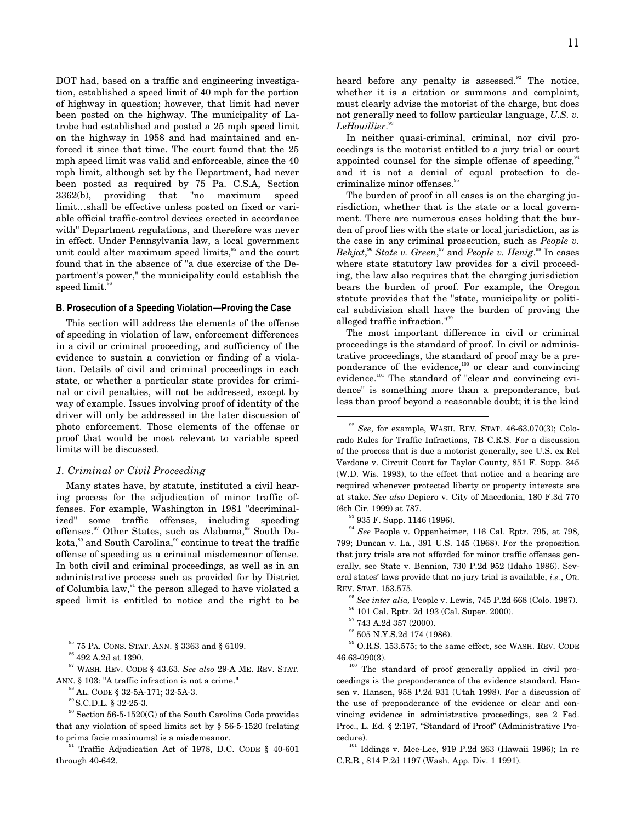DOT had, based on a traffic and engineering investigation, established a speed limit of 40 mph for the portion of highway in question; however, that limit had never been posted on the highway. The municipality of Latrobe had established and posted a 25 mph speed limit on the highway in 1958 and had maintained and enforced it since that time. The court found that the 25 mph speed limit was valid and enforceable, since the 40 mph limit, although set by the Department, had never been posted as required by 75 Pa. C.S.A, Section 3362(b), providing that "no maximum speed limit…shall be effective unless posted on fixed or variable official traffic-control devices erected in accordance with" Department regulations, and therefore was never in effect. Under Pennsylvania law, a local government unit could alter maximum speed limits,<sup>85</sup> and the court found that in the absence of "a due exercise of the Department's power," the municipality could establish the speed limit.<sup>8</sup>

#### **B. Prosecution of a Speeding Violation—Proving the Case**

This section will address the elements of the offense of speeding in violation of law, enforcement differences in a civil or criminal proceeding, and sufficiency of the evidence to sustain a conviction or finding of a violation. Details of civil and criminal proceedings in each state, or whether a particular state provides for criminal or civil penalties, will not be addressed, except by way of example. Issues involving proof of identity of the driver will only be addressed in the later discussion of photo enforcement. Those elements of the offense or proof that would be most relevant to variable speed limits will be discussed.

#### *1. Criminal or Civil Proceeding*

Many states have, by statute, instituted a civil hearing process for the adjudication of minor traffic offenses. For example, Washington in 1981 "decriminalized" some traffic offenses, including speeding offenses.<sup>87</sup> Other States, such as Alabama,<sup>88</sup> South Dakota,<sup>89</sup> and South Carolina,<sup>80</sup> continue to treat the traffic offense of speeding as a criminal misdemeanor offense. In both civil and criminal proceedings, as well as in an administrative process such as provided for by District of Columbia law, $91$ <sup>the</sup> person alleged to have violated a speed limit is entitled to notice and the right to be

85 75 PA. CONS. STAT. ANN. § 3363 and § 6109.

87 WASH. REV. CODE § 43.63. *See also* 29-A ME. REV. STAT. ANN. § 103: "A traffic infraction is not a crime."

89 S.C.D.L. § 32-25-3.

 $90$  Section 56-5-1520(G) of the South Carolina Code provides that any violation of speed limits set by § 56-5-1520 (relating to prima facie maximums) is a misdemeanor.

<sup>91</sup> Traffic Adjudication Act of 1978, D.C. CODE  $\S$  40-601 through 40-642.

heard before any penalty is assessed. $92$  The notice, whether it is a citation or summons and complaint, must clearly advise the motorist of the charge, but does not generally need to follow particular language, *U.S. v. LeHouillier*. 93

In neither quasi-criminal, criminal, nor civil proceedings is the motorist entitled to a jury trial or court appointed counsel for the simple offense of speeding,  $94$ and it is not a denial of equal protection to decriminalize minor offenses.<sup>95</sup>

The burden of proof in all cases is on the charging jurisdiction, whether that is the state or a local government. There are numerous cases holding that the burden of proof lies with the state or local jurisdiction, as is the case in any criminal prosecution, such as *People v. Behjat*, <sup>96</sup> *State v. Green*, 97 and *People v. Henig*. 98 In cases where state statutory law provides for a civil proceeding, the law also requires that the charging jurisdiction bears the burden of proof. For example, the Oregon statute provides that the "state, municipality or political subdivision shall have the burden of proving the alleged traffic infraction."<sup>99</sup>

The most important difference in civil or criminal proceedings is the standard of proof. In civil or administrative proceedings, the standard of proof may be a preponderance of the evidence,<sup>100</sup> or clear and convincing evidence.<sup>101</sup> The standard of "clear and convincing evidence" is something more than a preponderance, but less than proof beyond a reasonable doubt; it is the kind

<sup>93</sup> 935 F. Supp. 1146 (1996).

<sup>94</sup> *See* People v. Oppenheimer, 116 Cal. Rptr. 795, at 798, 799; Duncan v. La*.*, 391 U.S. 145 (1968). For the proposition that jury trials are not afforded for minor traffic offenses generally, see State v. Bennion, 730 P.2d 952 (Idaho 1986). Several states' laws provide that no jury trial is available, *i.e.*, OR. REV. STAT. 153.575.

<sup>95</sup> *See inter alia,* People v. Lewis, 745 P.2d 668 (Colo. 1987).

- 96 101 Cal. Rptr. 2d 193 (Cal. Super. 2000).
- $^{97}$  743 A.2d 357 (2000).
- $\rm ^{98}$  505 N.Y.S.2d 174 (1986).

 $^{99}$  O.R.S. 153.575; to the same effect, see WASH. REV. CODE 46.63-090(3).

<sup>100</sup> The standard of proof generally applied in civil proceedings is the preponderance of the evidence standard. Hansen v. Hansen, 958 P.2d 931 (Utah 1998). For a discussion of the use of preponderance of the evidence or clear and convincing evidence in administrative proceedings, see 2 Fed. Proc., L. Ed. § 2:197, "Standard of Proof" (Administrative Procedure).

 $101$  Iddings v. Mee-Lee, 919 P.2d 263 (Hawaii 1996); In re C.R.B*.*, 814 P.2d 1197 (Wash. App. Div. 1 1991).

 $\rm ^{86}$  492 A.2d at 1390.

 $8^8$  AL. CODE § 32-5A-171; 32-5A-3.

 <sup>92</sup> *See*, for example, WASH. REV. STAT. 46-63.070(3); Colorado Rules for Traffic Infractions, 7B C.R.S. For a discussion of the process that is due a motorist generally, see U.S. ex Rel Verdone v. Circuit Court for Taylor County, 851 F. Supp. 345 (W.D. Wis. 1993), to the effect that notice and a hearing are required whenever protected liberty or property interests are at stake. *See also* Depiero v. City of Macedonia, 180 F.3d 770 (6th Cir. 1999) at 787.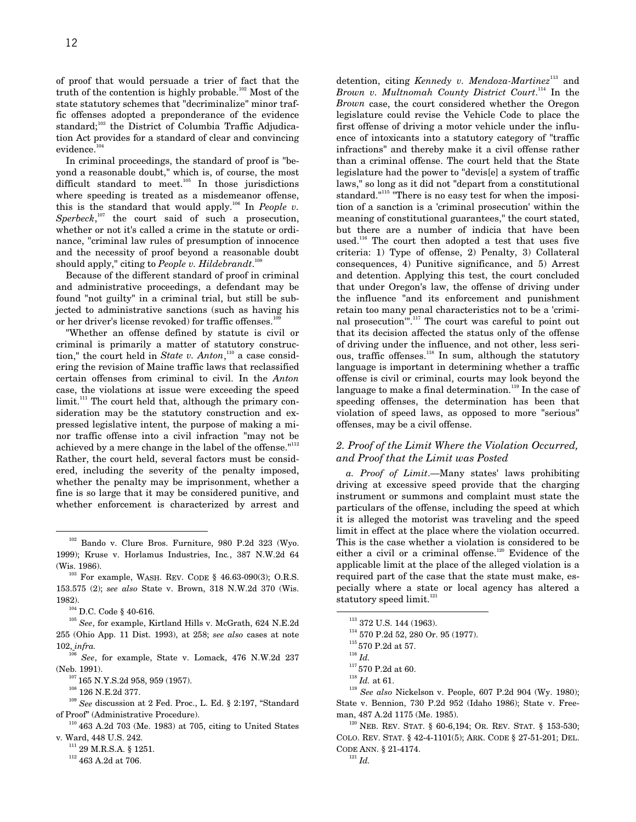of proof that would persuade a trier of fact that the truth of the contention is highly probable.<sup>102</sup> Most of the state statutory schemes that "decriminalize" minor traffic offenses adopted a preponderance of the evidence standard; $103$  the District of Columbia Traffic Adjudication Act provides for a standard of clear and convincing evidence.<sup>104</sup>

In criminal proceedings, the standard of proof is "beyond a reasonable doubt," which is, of course, the most difficult standard to meet. $105$  In those jurisdictions where speeding is treated as a misdemeanor offense, this is the standard that would apply.<sup>106</sup> In *People v.* Sperbeck,<sup>107</sup> the court said of such a prosecution, whether or not it's called a crime in the statute or ordinance, "criminal law rules of presumption of innocence and the necessity of proof beyond a reasonable doubt should apply," citing to *People v. Hildebrandt*. 108

Because of the different standard of proof in criminal and administrative proceedings, a defendant may be found "not guilty" in a criminal trial, but still be subjected to administrative sanctions (such as having his or her driver's license revoked) for traffic offenses.<sup>109</sup>

"Whether an offense defined by statute is civil or criminal is primarily a matter of statutory construction," the court held in *State v. Anton*,<sup>110</sup> a case considering the revision of Maine traffic laws that reclassified certain offenses from criminal to civil. In the *Anton* case, the violations at issue were exceeding the speed limit.<sup>111</sup> The court held that, although the primary consideration may be the statutory construction and expressed legislative intent, the purpose of making a minor traffic offense into a civil infraction "may not be achieved by a mere change in the label of the offense. $"$ <sup>112</sup> Rather, the court held, several factors must be considered, including the severity of the penalty imposed, whether the penalty may be imprisonment, whether a fine is so large that it may be considered punitive, and whether enforcement is characterized by arrest and

103 For example, WASH. REV. CODE § 46.63-090(3); O.R.S. 153.575 (2); *see also* State v. Brown, 318 N.W.2d 370 (Wis. 1982).

104 D.C. Code § 40-616.

 $^{105}$   $See,$  for example, Kirtland Hills v. McGrath,  $624$   $\rm{N.E.2d}$ 255 (Ohio App. 11 Dist. 1993), at 258; *see also* cases at note 102, *infra.*

<sup>3</sup> See, for example, State v. Lomack, 476 N.W.2d 237 (Neb. 1991).

107 165 N.Y.S.2d 958, 959 (1957).

<sup>109</sup> *See* discussion at 2 Fed. Proc., L. Ed. § 2:197, "Standard of Proof" (Administrative Procedure).

 $^{\scriptscriptstyle 112}$  463 A.2d at 706.

detention, citing *Kennedy v. Mendoza-Martinez*<sup>113</sup> and *Brown v. Multnomah County District Court*. 114 In the *Brown* case, the court considered whether the Oregon legislature could revise the Vehicle Code to place the first offense of driving a motor vehicle under the influence of intoxicants into a statutory category of "traffic infractions" and thereby make it a civil offense rather than a criminal offense. The court held that the State legislature had the power to "devis[e] a system of traffic laws," so long as it did not "depart from a constitutional standard." $115$  "There is no easy test for when the imposition of a sanction is a 'criminal prosecution' within the meaning of constitutional guarantees," the court stated, but there are a number of indicia that have been used.<sup>116</sup> The court then adopted a test that uses five criteria: 1) Type of offense, 2) Penalty, 3) Collateral consequences, 4) Punitive significance, and 5) Arrest and detention. Applying this test, the court concluded that under Oregon's law, the offense of driving under the influence "and its enforcement and punishment retain too many penal characteristics not to be a 'criminal prosecution'".117 The court was careful to point out that its decision affected the status only of the offense of driving under the influence, and not other, less serious, traffic offenses.<sup>118</sup> In sum, although the statutory language is important in determining whether a traffic offense is civil or criminal, courts may look beyond the language to make a final determination.<sup>119</sup> In the case of speeding offenses, the determination has been that violation of speed laws, as opposed to more "serious" offenses, may be a civil offense.

# *2. Proof of the Limit Where the Violation Occurred, and Proof that the Limit was Posted*

*a. Proof of Limit*.—Many states' laws prohibiting driving at excessive speed provide that the charging instrument or summons and complaint must state the particulars of the offense, including the speed at which it is alleged the motorist was traveling and the speed limit in effect at the place where the violation occurred. This is the case whether a violation is considered to be either a civil or a criminal offense.<sup>120</sup> Evidence of the applicable limit at the place of the alleged violation is a required part of the case that the state must make, especially where a state or local agency has altered a statutory speed  $limit.<sup>121</sup>$ 

<sup>116</sup> *Id.*

 $120$  NEB. REV. STAT. § 60-6,194; OR. REV. STAT. § 153-530; COLO. REV. STAT. § 42-4-1101(5); ARK. CODE § 27-51-201; DEL. CODE ANN. § 21-4174.

 <sup>102</sup> Bando v. Clure Bros. Furniture, 980 P.2d 323 (Wyo. 1999); Kruse v. Horlamus Industries, Inc*.*, 387 N.W.2d 64 (Wis. 1986).

<sup>&</sup>lt;sup>108</sup> 126 N.E.2d 377.

 $110$  463 A.2d 703 (Me. 1983) at 705, citing to United States v*.* Ward, 448 U.S. 242.

 $111$  29 M.R.S.A. § 1251.

<sup>&</sup>lt;sup>113</sup> 372 U.S. 144 (1963). 114 570 P.2d 52, 280 Or. 95 (1977).

 $\rm ^{115}570$  P.2d at 57.

 $\rm ^{117}$  570 P.2d at 60.

<sup>118</sup> *Id.* at 61.

<sup>119</sup> *See also* Nickelson v. People, 607 P.2d 904 (Wy. 1980); State v. Bennion, 730 P.2d 952 (Idaho 1986); State v. Freeman, 487 A.2d 1175 (Me. 1985).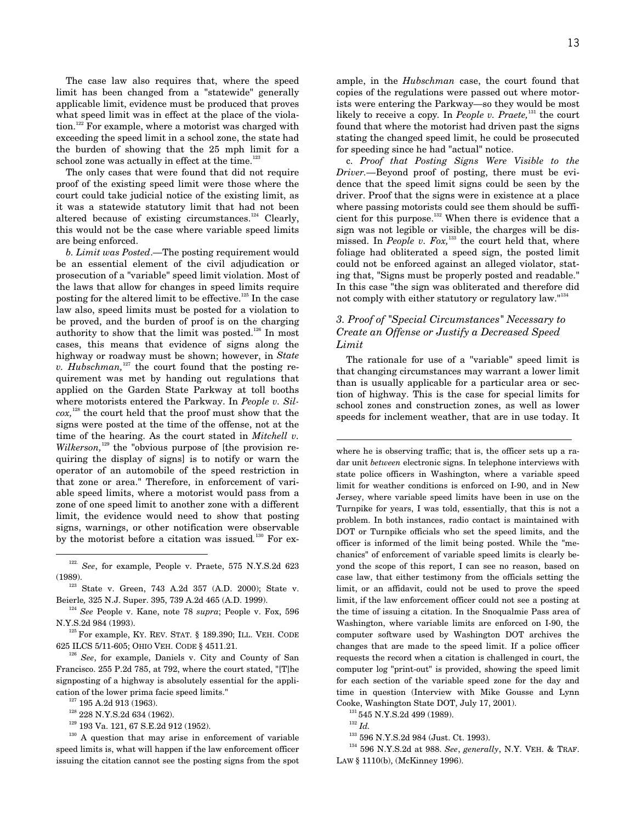The case law also requires that, where the speed limit has been changed from a "statewide" generally applicable limit, evidence must be produced that proves what speed limit was in effect at the place of the violation.<sup>122</sup> For example, where a motorist was charged with exceeding the speed limit in a school zone, the state had the burden of showing that the 25 mph limit for a school zone was actually in effect at the time. $123$ 

The only cases that were found that did not require proof of the existing speed limit were those where the court could take judicial notice of the existing limit, as it was a statewide statutory limit that had not been altered because of existing circumstances.<sup>124</sup> Clearly, this would not be the case where variable speed limits are being enforced.

*b. Limit was Posted*.*—*The posting requirement would be an essential element of the civil adjudication or prosecution of a "variable" speed limit violation. Most of the laws that allow for changes in speed limits require posting for the altered limit to be effective.<sup>125</sup> In the case law also, speed limits must be posted for a violation to be proved, and the burden of proof is on the charging authority to show that the limit was posted.<sup>126</sup> In most cases, this means that evidence of signs along the highway or roadway must be shown; however, in *State v. Hubschman*,<sup>127</sup> the court found that the posting requirement was met by handing out regulations that applied on the Garden State Parkway at toll booths where motorists entered the Parkway. In *People v. Silcox,*<sup>128</sup> the court held that the proof must show that the signs were posted at the time of the offense, not at the time of the hearing. As the court stated in *Mitchell v. Wilkerson*<sup>129</sup> the "obvious purpose of [the provision requiring the display of signs] is to notify or warn the operator of an automobile of the speed restriction in that zone or area." Therefore, in enforcement of variable speed limits, where a motorist would pass from a zone of one speed limit to another zone with a different limit, the evidence would need to show that posting signs, warnings, or other notification were observable by the motorist before a citation was issued*.* <sup>130</sup> For ex-

 122. *See*, for example, People v. Praete, 575 N.Y.S.2d 623 (1989).

123 State v. Green, 743 A.2d 357 (A.D. 2000); State v. Beierle*,* 325 N.J. Super. 395, 739 A.2d 465 (A.D. 1999).

<sup>124</sup> *See* People v. Kane, note 78 *supra*; People v. Fox, 596 N.Y.S.2d 984 (1993).

 $^{125}$  For example, KY. REV. STAT.  $\S$  189.390; ILL. VEH. CODE 625 ILCS 5/11-605; OHIO VEH. CODE § 4511.21.

<sup>126</sup> *See*, for example, Daniels v. City and County of San Francisco. 255 P.2d 785, at 792, where the court stated, "[T]he signposting of a highway is absolutely essential for the application of the lower prima facie speed limits."

 $^{127}$  195 A.2d 913 (1963).

 $^{128}$  228 N.Y.S.2d 634 (1962).

129 193 Va. 121, 67 S.E.2d 912 (1952).

<sup>130</sup> A question that may arise in enforcement of variable speed limits is, what will happen if the law enforcement officer issuing the citation cannot see the posting signs from the spot ample, in the *Hubschman* case, the court found that copies of the regulations were passed out where motorists were entering the Parkway—so they would be most likely to receive a copy*.* In *People v. Praete,*<sup>131</sup> the court found that where the motorist had driven past the signs stating the changed speed limit, he could be prosecuted for speeding since he had "actual" notice.

c. *Proof that Posting Signs Were Visible to the Driver.—*Beyond proof of posting, there must be evidence that the speed limit signs could be seen by the driver. Proof that the signs were in existence at a place where passing motorists could see them should be sufficient for this purpose. $132$  When there is evidence that a sign was not legible or visible, the charges will be dismissed. In *People v. Fox*,<sup>133</sup> the court held that, where foliage had obliterated a speed sign, the posted limit could not be enforced against an alleged violator, stating that, "Signs must be properly posted and readable." In this case "the sign was obliterated and therefore did not comply with either statutory or regulatory law."<sup>134</sup>

# *3. Proof of "Special Circumstances" Necessary to Create an Offense or Justify a Decreased Speed Limit*

The rationale for use of a "variable" speed limit is that changing circumstances may warrant a lower limit than is usually applicable for a particular area or section of highway. This is the case for special limits for school zones and construction zones, as well as lower speeds for inclement weather, that are in use today. It

where he is observing traffic; that is, the officer sets up a radar unit *between* electronic signs. In telephone interviews with state police officers in Washington, where a variable speed limit for weather conditions is enforced on I-90, and in New Jersey, where variable speed limits have been in use on the Turnpike for years, I was told, essentially, that this is not a problem. In both instances, radio contact is maintained with DOT or Turnpike officials who set the speed limits, and the officer is informed of the limit being posted. While the "mechanics" of enforcement of variable speed limits is clearly beyond the scope of this report, I can see no reason, based on case law, that either testimony from the officials setting the limit, or an affidavit, could not be used to prove the speed limit, if the law enforcement officer could not see a posting at the time of issuing a citation. In the Snoqualmie Pass area of Washington, where variable limits are enforced on I-90, the computer software used by Washington DOT archives the changes that are made to the speed limit. If a police officer requests the record when a citation is challenged in court, the computer log "print-out" is provided, showing the speed limit for each section of the variable speed zone for the day and time in question (Interview with Mike Gousse and Lynn Cooke, Washington State DOT, July 17, 2001).

<sup>131</sup> 545 N.Y.S.2d 499 (1989).

 $\overline{a}$ 

133 596 N.Y.S.2d 984 (Just. Ct. 1993).

134 596 N.Y.S.2d at 988. *See*, *generally*, N.Y. VEH. & TRAF. LAW § 1110(b), (McKinney 1996).

<sup>132</sup> *Id.*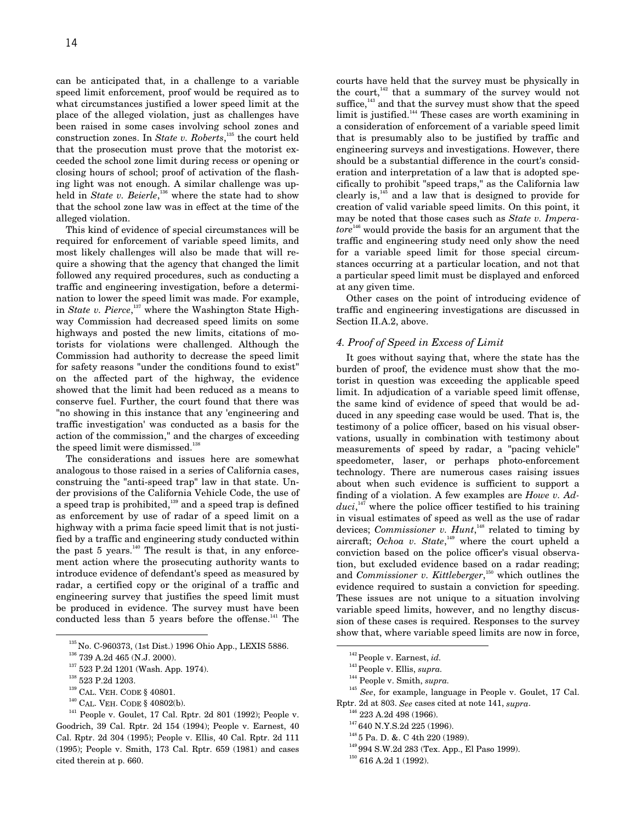can be anticipated that, in a challenge to a variable speed limit enforcement, proof would be required as to what circumstances justified a lower speed limit at the place of the alleged violation, just as challenges have been raised in some cases involving school zones and construction zones. In *State v. Roberts*, 135 the court held that the prosecution must prove that the motorist exceeded the school zone limit during recess or opening or closing hours of school; proof of activation of the flashing light was not enough. A similar challenge was upheld in *State v. Beierle*,<sup>136</sup> where the state had to show that the school zone law was in effect at the time of the alleged violation.

This kind of evidence of special circumstances will be required for enforcement of variable speed limits, and most likely challenges will also be made that will require a showing that the agency that changed the limit followed any required procedures, such as conducting a traffic and engineering investigation, before a determination to lower the speed limit was made. For example, in *State v. Pierce*, 137 where the Washington State Highway Commission had decreased speed limits on some highways and posted the new limits, citations of motorists for violations were challenged. Although the Commission had authority to decrease the speed limit for safety reasons "under the conditions found to exist" on the affected part of the highway, the evidence showed that the limit had been reduced as a means to conserve fuel. Further, the court found that there was "no showing in this instance that any 'engineering and traffic investigation' was conducted as a basis for the action of the commission," and the charges of exceeding the speed limit were dismissed. $138$ 

The considerations and issues here are somewhat analogous to those raised in a series of California cases, construing the "anti-speed trap" law in that state. Under provisions of the California Vehicle Code, the use of a speed trap is prohibited, $139$  and a speed trap is defined as enforcement by use of radar of a speed limit on a highway with a prima facie speed limit that is not justified by a traffic and engineering study conducted within the past 5 years. $140$  The result is that, in any enforcement action where the prosecuting authority wants to introduce evidence of defendant's speed as measured by radar, a certified copy or the original of a traffic and engineering survey that justifies the speed limit must be produced in evidence. The survey must have been conducted less than  $5$  years before the offense.<sup>141</sup> The

140 CAL. VEH. CODE § 40802(b).

courts have held that the survey must be physically in the court,<sup>142</sup> that a summary of the survey would not suffice, $143$  and that the survey must show that the speed limit is justified.<sup>144</sup> These cases are worth examining in a consideration of enforcement of a variable speed limit that is presumably also to be justified by traffic and engineering surveys and investigations. However, there should be a substantial difference in the court's consideration and interpretation of a law that is adopted specifically to prohibit "speed traps," as the California law clearly is, $145$  and a law that is designed to provide for creation of valid variable speed limits. On this point, it may be noted that those cases such as *State v. Imperatore*<sup>146</sup> would provide the basis for an argument that the traffic and engineering study need only show the need for a variable speed limit for those special circumstances occurring at a particular location, and not that a particular speed limit must be displayed and enforced at any given time.

Other cases on the point of introducing evidence of traffic and engineering investigations are discussed in Section II.A.2, above.

# *4. Proof of Speed in Excess of Limit*

It goes without saying that, where the state has the burden of proof, the evidence must show that the motorist in question was exceeding the applicable speed limit. In adjudication of a variable speed limit offense, the same kind of evidence of speed that would be adduced in any speeding case would be used. That is, the testimony of a police officer, based on his visual observations, usually in combination with testimony about measurements of speed by radar, a "pacing vehicle" speedometer, laser, or perhaps photo-enforcement technology. There are numerous cases raising issues about when such evidence is sufficient to support a finding of a violation. A few examples are *Howe v. Adduci*, 147 where the police officer testified to his training in visual estimates of speed as well as the use of radar devices; *Commissioner v. Hunt*, 148 related to timing by aircraft; *Ochoa v. State*, 149 where the court upheld a conviction based on the police officer's visual observation, but excluded evidence based on a radar reading; and *Commissioner v. Kittleberger*, 150 which outlines the evidence required to sustain a conviction for speeding. These issues are not unique to a situation involving variable speed limits, however, and no lengthy discussion of these cases is required. Responses to the survey show that, where variable speed limits are now in force,

142 People v. Earnest, *id.*

144 People v. Smith, *supra.*

- <sup>146</sup> 223 A.2d 498 (1966).
- <sup>147</sup> 640 N.Y.S.2d 225 (1996).
- 148 5 Pa. D. &. C 4th 220 (1989). 149 994 S.W.2d 283 (Tex. App., El Paso 1999).
- <sup>150</sup> 616 A.2d 1 (1992).

 <sup>135</sup> No. C-960373, (1st Dist.) 1996 Ohio App., LEXIS 5886.

 $^{136}$  739 A.2d 465 (N.J. 2000).

<sup>137 523</sup> P.2d 1201 (Wash. App. 1974).

 $\rm ^{138}$  523 P.2d 1203.

<sup>139</sup> CAL. VEH. CODE § 40801.

<sup>141</sup> People v. Goulet, 17 Cal. Rptr. 2d 801 (1992); People v. Goodrich, 39 Cal. Rptr. 2d 154 (1994); People v. Earnest, 40 Cal. Rptr. 2d 304 (1995); People v. Ellis, 40 Cal. Rptr. 2d 111 (1995); People v. Smith, 173 Cal. Rptr. 659 (1981) and cases cited therein at p. 660.

<sup>143</sup> People v. Ellis, *supra.*

<sup>145</sup> *See*, for example, language in People v. Goulet, 17 Cal. Rptr. 2d at 803. *See* cases cited at note 141, *supra*.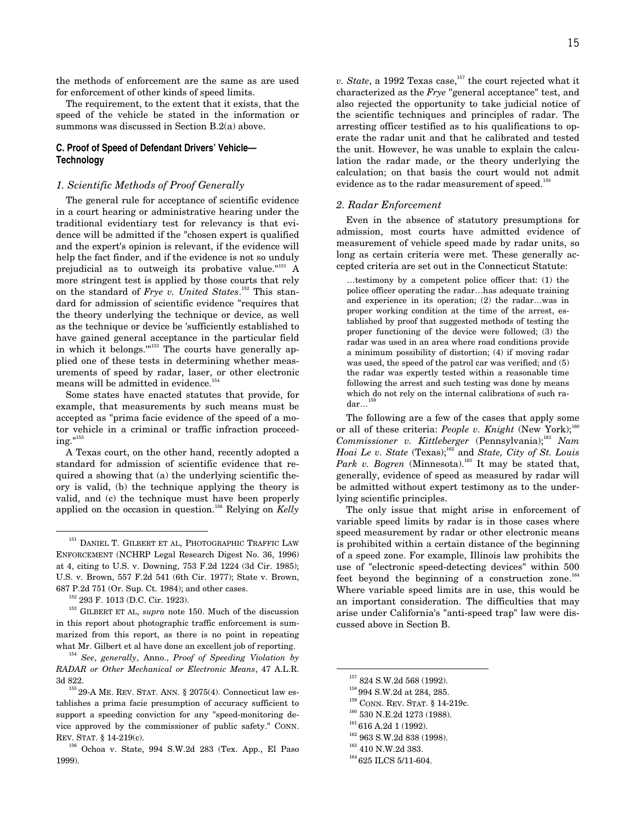the methods of enforcement are the same as are used for enforcement of other kinds of speed limits.

The requirement, to the extent that it exists, that the speed of the vehicle be stated in the information or summons was discussed in Section B.2(a) above.

## **C. Proof of Speed of Defendant Drivers' Vehicle— Technology**

#### *1. Scientific Methods of Proof Generally*

The general rule for acceptance of scientific evidence in a court hearing or administrative hearing under the traditional evidentiary test for relevancy is that evidence will be admitted if the "chosen expert is qualified and the expert's opinion is relevant, if the evidence will help the fact finder, and if the evidence is not so unduly prejudicial as to outweigh its probative value. $151 A$ more stringent test is applied by those courts that rely on the standard of *Frye v. United States*. 152 This standard for admission of scientific evidence "requires that the theory underlying the technique or device, as well as the technique or device be 'sufficiently established to have gained general acceptance in the particular field in which it belongs."<sup>153</sup> The courts have generally applied one of these tests in determining whether measurements of speed by radar, laser, or other electronic means will be admitted in evidence.<sup>154</sup>

Some states have enacted statutes that provide, for example, that measurements by such means must be accepted as "prima facie evidence of the speed of a motor vehicle in a criminal or traffic infraction proceeding."155

A Texas court, on the other hand, recently adopted a standard for admission of scientific evidence that required a showing that (a) the underlying scientific theory is valid, (b) the technique applying the theory is valid, and (c) the technique must have been properly applied on the occasion in question.156 Relying on *Kelly*

153 GILBERT ET AL, *supra* note 150. Much of the discussion in this report about photographic traffic enforcement is summarized from this report, as there is no point in repeating what Mr. Gilbert et al have done an excellent job of reporting.

<sup>154</sup> *See*, *generally*, Anno., *Proof of Speeding Violation by RADAR or Other Mechanical or Electronic Means*, 47 A.L.R. 3d 822.

*v. State*, a 1992 Texas case,<sup>157</sup> the court rejected what it characterized as the *Frye* "general acceptance" test, and also rejected the opportunity to take judicial notice of the scientific techniques and principles of radar. The arresting officer testified as to his qualifications to operate the radar unit and that he calibrated and tested the unit. However, he was unable to explain the calculation the radar made, or the theory underlying the calculation; on that basis the court would not admit evidence as to the radar measurement of speed.<sup>16</sup>

#### *2. Radar Enforcement*

Even in the absence of statutory presumptions for admission, most courts have admitted evidence of measurement of vehicle speed made by radar units, so long as certain criteria were met. These generally accepted criteria are set out in the Connecticut Statute:

…testimony by a competent police officer that: (1) the police officer operating the radar…has adequate training and experience in its operation; (2) the radar…was in proper working condition at the time of the arrest, established by proof that suggested methods of testing the proper functioning of the device were followed; (3) the radar was used in an area where road conditions provide a minimum possibility of distortion; (4) if moving radar was used, the speed of the patrol car was verified; and (5) the radar was expertly tested within a reasonable time following the arrest and such testing was done by means which do not rely on the internal calibrations of such ra- $\mathrm{dar}...^{^{159}}$ 

The following are a few of the cases that apply some or all of these criteria: *People v. Knight* (New York);<sup>160</sup> *Commissioner v. Kittleberger* (Pennsylvania);<sup>161</sup> *Nam Hoai Le v. State* (Texas);162 and *State, City of St. Louis Park v. Bogren* (Minnesota).<sup>163</sup> It may be stated that, generally, evidence of speed as measured by radar will be admitted without expert testimony as to the underlying scientific principles.

The only issue that might arise in enforcement of variable speed limits by radar is in those cases where speed measurement by radar or other electronic means is prohibited within a certain distance of the beginning of a speed zone. For example, Illinois law prohibits the use of "electronic speed-detecting devices" within 500 feet beyond the beginning of a construction zone.<sup>164</sup> Where variable speed limits are in use, this would be an important consideration. The difficulties that may arise under California's "anti-speed trap" law were discussed above in Section B.

- 159 CONN. REV. STAT. § 14-219c.
- $^{160}$  530 N.E.2d 1273 (1988).

- <sup>162</sup> 963 S.W.2d 838 (1998).
- $\rm ^{163}$  410 N.W.2d 383.

 $^{151}$  DANIEL T. GILBERT ET AL, PHOTOGRAPHIC TRAFFIC LAW ENFORCEMENT (NCHRP Legal Research Digest No. 36, 1996) at 4, citing to U.S. v. Downing, 753 F.2d 1224 (3d Cir. 1985); U.S. v. Brown, 557 F.2d 541 (6th Cir. 1977); State v. Brown, 687 P.2d 751 (Or. Sup. Ct. 1984); and other cases.

<sup>152 293</sup> F. 1013 (D.C. Cir. 1923).

 $^{155}\,29\mbox{-}\mathrm{A}$  ME. REV. STAT. ANN. § 2075(4). Connecticut law establishes a prima facie presumption of accuracy sufficient to support a speeding conviction for any "speed-monitoring device approved by the commissioner of public safety." CONN. REV. STAT. § 14-219(c).

<sup>156</sup> Ochoa v. State, 994 S.W.2d 283 (Tex. App., El Paso 1999).

 <sup>157 824</sup> S.W.2d 568 (1992).

<sup>&</sup>lt;sup>158</sup> 994 S.W.2d at 284, 285.

 $1616$  A.2d 1 (1992).

<sup>&</sup>lt;sup>164</sup> 625 ILCS 5/11-604.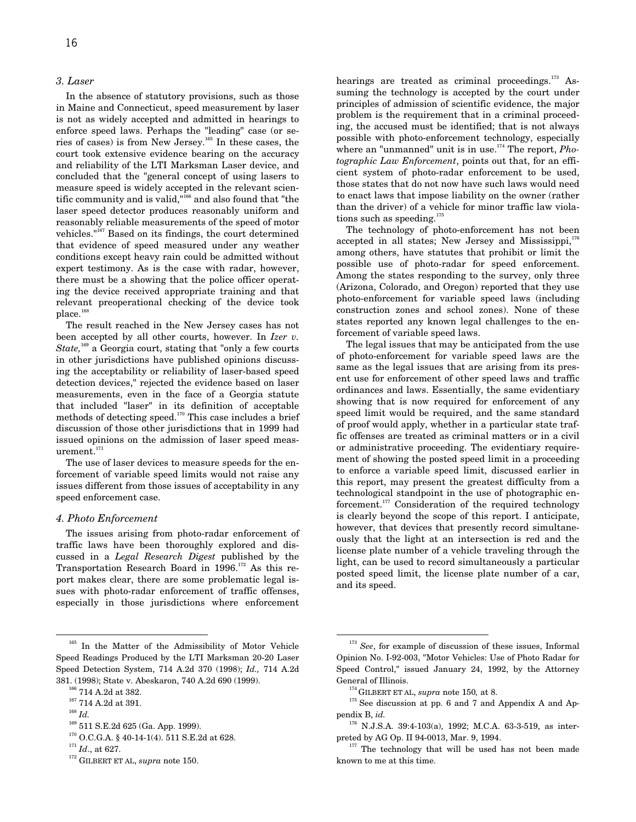## *3. Laser*

In the absence of statutory provisions, such as those in Maine and Connecticut, speed measurement by laser is not as widely accepted and admitted in hearings to enforce speed laws. Perhaps the "leading" case (or series of cases) is from New Jersey.165 In these cases, the court took extensive evidence bearing on the accuracy and reliability of the LTI Marksman Laser device, and concluded that the "general concept of using lasers to measure speed is widely accepted in the relevant scientific community and is valid,"166 and also found that "the laser speed detector produces reasonably uniform and reasonably reliable measurements of the speed of motor vehicles."167 Based on its findings, the court determined that evidence of speed measured under any weather conditions except heavy rain could be admitted without expert testimony. As is the case with radar, however, there must be a showing that the police officer operating the device received appropriate training and that relevant preoperational checking of the device took place.<sup>16</sup>

The result reached in the New Jersey cases has not been accepted by all other courts, however. In *Izer v. State*,<sup>169</sup> a Georgia court, stating that "only a few courts" in other jurisdictions have published opinions discussing the acceptability or reliability of laser-based speed detection devices," rejected the evidence based on laser measurements, even in the face of a Georgia statute that included "laser" in its definition of acceptable methods of detecting speed.170 This case includes a brief discussion of those other jurisdictions that in 1999 had issued opinions on the admission of laser speed measurement.<sup>171</sup>

The use of laser devices to measure speeds for the enforcement of variable speed limits would not raise any issues different from those issues of acceptability in any speed enforcement case.

## *4. Photo Enforcement*

The issues arising from photo-radar enforcement of traffic laws have been thoroughly explored and discussed in a *Legal Research Digest* published by the Transportation Research Board in  $1996$ <sup>172</sup> As this report makes clear, there are some problematic legal issues with photo-radar enforcement of traffic offenses, especially in those jurisdictions where enforcement

172 GILBERT ET AL, *supra* note 150.

hearings are treated as criminal proceedings.<sup>173</sup> Assuming the technology is accepted by the court under principles of admission of scientific evidence, the major problem is the requirement that in a criminal proceeding, the accused must be identified; that is not always possible with photo-enforcement technology, especially where an "unmanned" unit is in use.<sup>174</sup> The report, *Photographic Law Enforcement*, points out that, for an efficient system of photo-radar enforcement to be used, those states that do not now have such laws would need to enact laws that impose liability on the owner (rather than the driver) of a vehicle for minor traffic law violations such as speeding.<sup>175</sup>

The technology of photo-enforcement has not been accepted in all states; New Jersey and Mississippi, $176$ among others, have statutes that prohibit or limit the possible use of photo-radar for speed enforcement. Among the states responding to the survey, only three (Arizona, Colorado, and Oregon) reported that they use photo-enforcement for variable speed laws (including construction zones and school zones). None of these states reported any known legal challenges to the enforcement of variable speed laws.

The legal issues that may be anticipated from the use of photo-enforcement for variable speed laws are the same as the legal issues that are arising from its present use for enforcement of other speed laws and traffic ordinances and laws. Essentially, the same evidentiary showing that is now required for enforcement of any speed limit would be required, and the same standard of proof would apply, whether in a particular state traffic offenses are treated as criminal matters or in a civil or administrative proceeding. The evidentiary requirement of showing the posted speed limit in a proceeding to enforce a variable speed limit, discussed earlier in this report, may present the greatest difficulty from a technological standpoint in the use of photographic enforcement.177 Consideration of the required technology is clearly beyond the scope of this report. I anticipate, however, that devices that presently record simultaneously that the light at an intersection is red and the license plate number of a vehicle traveling through the light, can be used to record simultaneously a particular posted speed limit, the license plate number of a car, and its speed.

<sup>&</sup>lt;sup>165</sup> In the Matter of the Admissibility of Motor Vehicle Speed Readings Produced by the LTI Marksman 20-20 Laser Speed Detection System, 714 A.2d 370 (1998); *Id.,* 714 A.2d 381. (1998); State v. Abeskaron, 740 A.2d 690 (1999).

<sup>&</sup>lt;sup>166</sup> 714 A.2d at 382.

<sup>&</sup>lt;sup>167</sup> 714 A.2d at 391.

<sup>168</sup> *Id.*

<sup>169 511</sup> S.E.2d 625 (Ga. App. 1999).

 $^{170}$  O.C.G.A. § 40-14-1(4). 511 S.E.2d at 628.

<sup>171</sup> *Id*., at 627.

<sup>&</sup>lt;sup>173</sup> See, for example of discussion of these issues, Informal Opinion No. I-92-003, "Motor Vehicles: Use of Photo Radar for Speed Control," issued January 24, 1992, by the Attorney General of Illinois.

<sup>174</sup> GILBERT ET AL, *supra* note 150*,* at 8.

<sup>&</sup>lt;sup>175</sup> See discussion at pp. 6 and 7 and Appendix A and Appendix B, *id.*

<sup>176</sup> N.J.S.A. 39:4-103(a), 1992; M.C.A. 63-3-519, as interpreted by AG Op. II 94-0013, Mar. 9, 1994.

 $177$  The technology that will be used has not been made known to me at this time.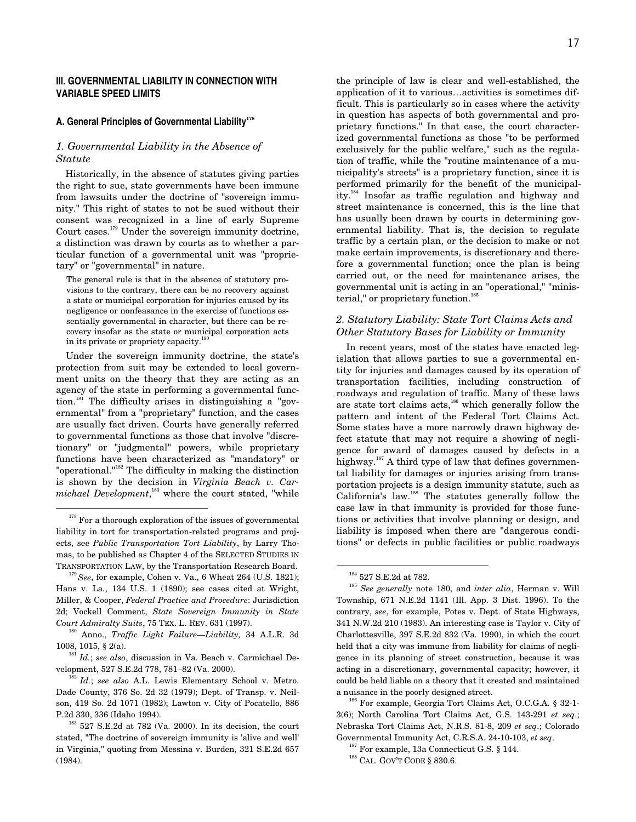# **III. GOVERNMENTAL LIABILITY IN CONNECTION WITH VARIABLE SPEED LIMITS**

#### **A. General Principles of Governmental Liability<sup>178</sup>**

## *1. Governmental Liability in the Absence of Statute*

Historically, in the absence of statutes giving parties the right to sue, state governments have been immune from lawsuits under the doctrine of "sovereign immunity." This right of states to not be sued without their consent was recognized in a line of early Supreme Court cases.179 Under the sovereign immunity doctrine, a distinction was drawn by courts as to whether a particular function of a governmental unit was "proprietary" or "governmental" in nature.

The general rule is that in the absence of statutory provisions to the contrary, there can be no recovery against a state or municipal corporation for injuries caused by its negligence or nonfeasance in the exercise of functions essentially governmental in character, but there can be recovery insofar as the state or municipal corporation acts in its private or propriety capacity.<sup>180</sup>

Under the sovereign immunity doctrine, the state's protection from suit may be extended to local government units on the theory that they are acting as an agency of the state in performing a governmental function.<sup>181</sup> The difficulty arises in distinguishing a "governmental" from a "proprietary" function, and the cases are usually fact driven. Courts have generally referred to governmental functions as those that involve "discretionary" or "judgmental" powers, while proprietary functions have been characterized as "mandatory" or "operational."182 The difficulty in making the distinction is shown by the decision in *Virginia Beach v. Carmichael Development*, 183 where the court stated, "while

the principle of law is clear and well-established, the application of it to various…activities is sometimes difficult. This is particularly so in cases where the activity in question has aspects of both governmental and proprietary functions." In that case, the court characterized governmental functions as those "to be performed exclusively for the public welfare," such as the regulation of traffic, while the "routine maintenance of a municipality's streets" is a proprietary function, since it is performed primarily for the benefit of the municipality.184 Insofar as traffic regulation and highway and street maintenance is concerned, this is the line that has usually been drawn by courts in determining governmental liability. That is, the decision to regulate traffic by a certain plan, or the decision to make or not make certain improvements, is discretionary and therefore a governmental function; once the plan is being carried out, or the need for maintenance arises, the governmental unit is acting in an "operational," "ministerial," or proprietary function.<sup>185</sup>

# *2. Statutory Liability: State Tort Claims Acts and Other Statutory Bases for Liability or Immunity*

In recent years, most of the states have enacted legislation that allows parties to sue a governmental entity for injuries and damages caused by its operation of transportation facilities, including construction of roadways and regulation of traffic. Many of these laws are state tort claims acts,<sup>186</sup> which generally follow the pattern and intent of the Federal Tort Claims Act. Some states have a more narrowly drawn highway defect statute that may not require a showing of negligence for award of damages caused by defects in a highway.<sup>187</sup> A third type of law that defines governmental liability for damages or injuries arising from transportation projects is a design immunity statute, such as California's law.188 The statutes generally follow the case law in that immunity is provided for those functions or activities that involve planning or design, and liability is imposed when there are "dangerous conditions" or defects in public facilities or public roadways

186 For example, Georgia Tort Claims Act, O.C.G.A. § 32-1- 3(6); North Carolina Tort Claims Act, G.S. 143-291 *et seq*.; Nebraska Tort Claims Act, N.R.S. 81-8, 209 *et seq*.; Colorado Governmental Immunity Act, C.R.S.A. 24-10-103, *et seq*.

 $187$  For example, 13a Connecticut G.S. § 144.

 $^{178}\,$  For a thorough exploration of the issues of governmental liability in tort for transportation-related programs and projects, see *Public Transportation Tort Liability*, by Larry Thomas, to be published as Chapter 4 of the SELECTED STUDIES IN TRANSPORTATION LAW, by the Transportation Research Board.

<sup>179</sup>*See*, for example, Cohen v. Va., 6 Wheat 264 (U.S. 1821); Hans v. La*.*, 134 U.S. 1 (1890); see cases cited at Wright, Miller, & Cooper, *Federal Practice and Procedure*: Jurisdiction 2d; Vockell Comment, *State Sovereign Immunity in State Court Admiralty Suits*, 75 TEX. L. REV. 631 (1997).

<sup>180</sup> Anno., *Traffic Light Failure—Liability,* 34 A.L.R. 3d 1008, 1015, § 2(a).

<sup>181</sup> *Id.*; *see also*, discussion in Va. Beach v. Carmichael Development, 527 S.E.2d 778, 781–82 (Va. 2000).

<sup>182</sup>*Id.*; *see also* A.L. Lewis Elementary School v. Metro. Dade County, 376 So. 2d 32 (1979); Dept. of Transp. v. Neilson, 419 So. 2d 1071 (1982); Lawton v. City of Pocatello, 886 P.2d 330, 336 (Idaho 1994).

 $183$  527 S.E.2d at 782 (Va. 2000). In its decision, the court stated, "The doctrine of sovereign immunity is 'alive and well' in Virginia," quoting from Messina v. Burden, 321 S.E.2d 657 (1984).

<sup>&</sup>lt;sup>184</sup> 527 S.E.2d at 782.

<sup>185</sup> *See generally* note 180, and *inter alia*, Herman v. Will Township, 671 N.E.2d 1141 (Ill. App. 3 Dist. 1996). To the contrary, *see*, for example, Potes v. Dept. of State Highways, 341 N.W.2d 210 (1983). An interesting case is Taylor v. City of Charlottesville, 397 S.E.2d 832 (Va. 1990), in which the court held that a city was immune from liability for claims of negligence in its planning of street construction, because it was acting in a discretionary, governmental capacity; however, it could be held liable on a theory that it created and maintained a nuisance in the poorly designed street.

 $^{188}$  CAL. GOV'T CODE  $\S$  830.6.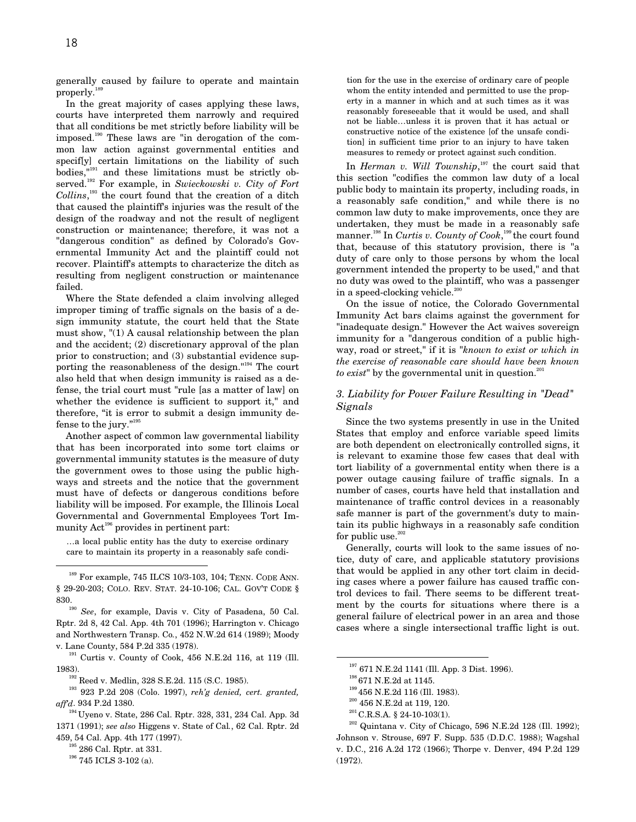generally caused by failure to operate and maintain properly.

In the great majority of cases applying these laws, courts have interpreted them narrowly and required that all conditions be met strictly before liability will be imposed.190 These laws are "in derogation of the common law action against governmental entities and specif[y] certain limitations on the liability of such bodies,"191 and these limitations must be strictly observed.192 For example, in *Swieckowski v. City of Fort Collins*, 193 the court found that the creation of a ditch that caused the plaintiff's injuries was the result of the design of the roadway and not the result of negligent construction or maintenance; therefore, it was not a "dangerous condition" as defined by Colorado's Governmental Immunity Act and the plaintiff could not recover. Plaintiff's attempts to characterize the ditch as resulting from negligent construction or maintenance failed.

Where the State defended a claim involving alleged improper timing of traffic signals on the basis of a design immunity statute, the court held that the State must show, "(1) A causal relationship between the plan and the accident; (2) discretionary approval of the plan prior to construction; and (3) substantial evidence supporting the reasonableness of the design."<sup>194</sup> The court also held that when design immunity is raised as a defense, the trial court must "rule [as a matter of law] on whether the evidence is sufficient to support it," and therefore, "it is error to submit a design immunity defense to the jury."195

Another aspect of common law governmental liability that has been incorporated into some tort claims or governmental immunity statutes is the measure of duty the government owes to those using the public highways and streets and the notice that the government must have of defects or dangerous conditions before liability will be imposed. For example, the Illinois Local Governmental and Governmental Employees Tort Immunity  $Act^{196}$  provides in pertinent part:

…a local public entity has the duty to exercise ordinary care to maintain its property in a reasonably safe condi-

191 Curtis v. County of Cook, 456 N.E.2d 116, at 119 (Ill. 1983).

193 923 P.2d 208 (Colo. 1997), *reh'g denied, cert. granted, aff'd*. 934 P.2d 1380.

tion for the use in the exercise of ordinary care of people whom the entity intended and permitted to use the property in a manner in which and at such times as it was reasonably foreseeable that it would be used, and shall not be liable…unless it is proven that it has actual or constructive notice of the existence [of the unsafe condition] in sufficient time prior to an injury to have taken measures to remedy or protect against such condition.

In *Herman v. Will Township*, 197 the court said that this section "codifies the common law duty of a local public body to maintain its property, including roads, in a reasonably safe condition," and while there is no common law duty to make improvements, once they are undertaken, they must be made in a reasonably safe manner.198 In *Curtis v. County of Cook*, 199 the court found that, because of this statutory provision, there is "a duty of care only to those persons by whom the local government intended the property to be used," and that no duty was owed to the plaintiff, who was a passenger in a speed-clocking vehicle.<sup>200</sup>

On the issue of notice, the Colorado Governmental Immunity Act bars claims against the government for "inadequate design." However the Act waives sovereign immunity for a "dangerous condition of a public highway, road or street," if it is "*known to exist or which in the exercise of reasonable care should have been known to exist*" by the governmental unit in question.<sup>201</sup>

# *3. Liability for Power Failure Resulting in "Dead" Signals*

Since the two systems presently in use in the United States that employ and enforce variable speed limits are both dependent on electronically controlled signs, it is relevant to examine those few cases that deal with tort liability of a governmental entity when there is a power outage causing failure of traffic signals. In a number of cases, courts have held that installation and maintenance of traffic control devices in a reasonably safe manner is part of the government's duty to maintain its public highways in a reasonably safe condition for public use. $202$ 

Generally, courts will look to the same issues of notice, duty of care, and applicable statutory provisions that would be applied in any other tort claim in deciding cases where a power failure has caused traffic control devices to fail. There seems to be different treatment by the courts for situations where there is a general failure of electrical power in an area and those cases where a single intersectional traffic light is out.

 $202$  Quintana v. City of Chicago, 596 N.E.2d 128 (Ill. 1992); Johnson v. Strouse, 697 F. Supp. 535 (D.D.C. 1988); Wagshal v. D.C., 216 A.2d 172 (1966); Thorpe v. Denver, 494 P.2d 129 (1972).

 <sup>189</sup> For example, 745 ILCS 10/3-103, 104; TENN. CODE ANN. § 29-20-203; COLO. REV. STAT. 24-10-106; CAL. GOV'T CODE § 830.<br><sup>190</sup> *See*, for example, Davis v. City of Pasadena, 50 Cal.

Rptr. 2d 8, 42 Cal. App. 4th 701 (1996); Harrington v. Chicago and Northwestern Transp. Co*.*, 452 N.W.2d 614 (1989); Moody v. Lane County, 584 P.2d 335 (1978).

<sup>192</sup> Reed v. Medlin, 328 S.E.2d. 115 (S.C. 1985).

 $194$  Uyeno v. State, 286 Cal. Rptr. 328, 331, 234 Cal. App. 3d 1371 (1991); *see also* Higgens v. State of Cal*.*, 62 Cal. Rptr. 2d 459, 54 Cal. App. 4th 177 (1997).

 $195$  286 Cal. Rptr. at 331.

<sup>196 745</sup> ICLS 3-102 (a).

 <sup>197 671</sup> N.E.2d 1141 (Ill. App. 3 Dist. 1996).

 $\rm ^{198}$  671 N.E.2d at 1145.

<sup>199 456</sup> N.E.2d 116 (Ill. 1983).

 $^{\rm 200}$  456 N.E.2d at 119, 120.

 $201$  C.R.S.A. § 24-10-103(1).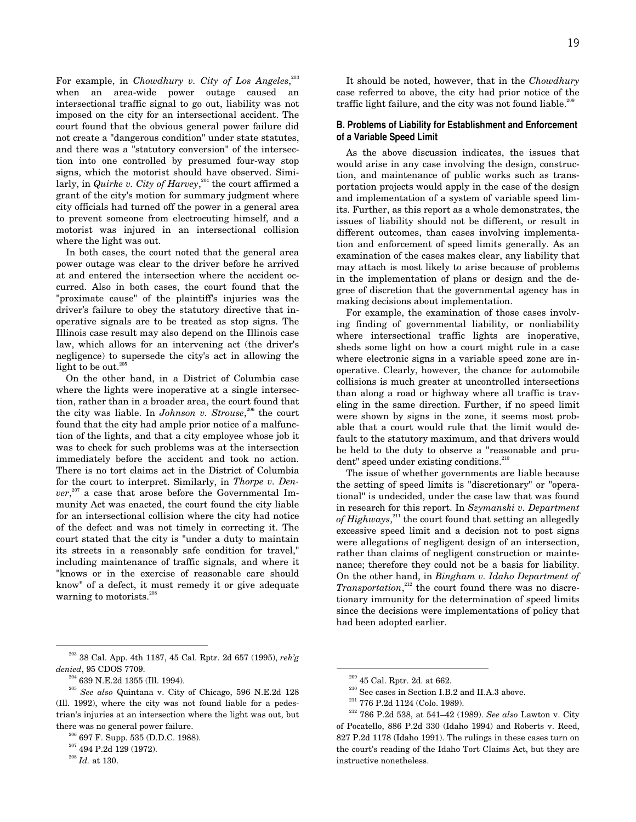For example, in *Chowdhury v. City of Los Angeles*, 203 when an area-wide power outage caused an intersectional traffic signal to go out, liability was not imposed on the city for an intersectional accident. The court found that the obvious general power failure did not create a "dangerous condition" under state statutes, and there was a "statutory conversion" of the intersection into one controlled by presumed four-way stop signs, which the motorist should have observed. Similarly, in *Quirke v. City of Harvey*, 204 the court affirmed a grant of the city's motion for summary judgment where city officials had turned off the power in a general area to prevent someone from electrocuting himself, and a motorist was injured in an intersectional collision where the light was out.

In both cases, the court noted that the general area power outage was clear to the driver before he arrived at and entered the intersection where the accident occurred. Also in both cases, the court found that the "proximate cause" of the plaintiff's injuries was the driver's failure to obey the statutory directive that inoperative signals are to be treated as stop signs. The Illinois case result may also depend on the Illinois case law, which allows for an intervening act (the driver's negligence) to supersede the city's act in allowing the light to be out.<sup>205</sup>

On the other hand, in a District of Columbia case where the lights were inoperative at a single intersection, rather than in a broader area, the court found that the city was liable. In *Johnson v. Strouse*, 206 the court found that the city had ample prior notice of a malfunction of the lights, and that a city employee whose job it was to check for such problems was at the intersection immediately before the accident and took no action. There is no tort claims act in the District of Columbia for the court to interpret. Similarly, in *Thorpe v. Denver*, 207 a case that arose before the Governmental Immunity Act was enacted, the court found the city liable for an intersectional collision where the city had notice of the defect and was not timely in correcting it. The court stated that the city is "under a duty to maintain its streets in a reasonably safe condition for travel," including maintenance of traffic signals, and where it "knows or in the exercise of reasonable care should know" of a defect, it must remedy it or give adequate warning to motorists.<sup>208</sup>

 203 38 Cal. App. 4th 1187, 45 Cal. Rptr. 2d 657 (1995), *reh'g denied*, 95 CDOS 7709.

 $^{204}$  639 N.E.2d 1355 (Ill. 1994).

<sup>205</sup> *See also* Quintana v. City of Chicago, 596 N.E.2d 128 (Ill. 1992), where the city was not found liable for a pedestrian's injuries at an intersection where the light was out, but there was no general power failure.

 $206$  697 F. Supp. 535 (D.D.C. 1988).

 $\>^{207}$  494 P.2d 129 (1972).

 $\real^{208}$   $Id.$  at 130.

It should be noted, however, that in the *Chowdhury* case referred to above, the city had prior notice of the traffic light failure, and the city was not found liable.<sup>20</sup>

#### **B. Problems of Liability for Establishment and Enforcement of a Variable Speed Limit**

As the above discussion indicates, the issues that would arise in any case involving the design, construction, and maintenance of public works such as transportation projects would apply in the case of the design and implementation of a system of variable speed limits. Further, as this report as a whole demonstrates, the issues of liability should not be different, or result in different outcomes, than cases involving implementation and enforcement of speed limits generally. As an examination of the cases makes clear, any liability that may attach is most likely to arise because of problems in the implementation of plans or design and the degree of discretion that the governmental agency has in making decisions about implementation.

For example, the examination of those cases involving finding of governmental liability, or nonliability where intersectional traffic lights are inoperative, sheds some light on how a court might rule in a case where electronic signs in a variable speed zone are inoperative. Clearly, however, the chance for automobile collisions is much greater at uncontrolled intersections than along a road or highway where all traffic is traveling in the same direction. Further, if no speed limit were shown by signs in the zone, it seems most probable that a court would rule that the limit would default to the statutory maximum, and that drivers would be held to the duty to observe a "reasonable and prudent" speed under existing conditions.<sup>210</sup>

The issue of whether governments are liable because the setting of speed limits is "discretionary" or "operational" is undecided, under the case law that was found in research for this report. In *Szymanski v. Department of Highways*, 211 the court found that setting an allegedly excessive speed limit and a decision not to post signs were allegations of negligent design of an intersection, rather than claims of negligent construction or maintenance; therefore they could not be a basis for liability. On the other hand, in *Bingham v. Idaho Department of* Transportation,<sup>212</sup> the court found there was no discretionary immunity for the determination of speed limits since the decisions were implementations of policy that had been adopted earlier.

 $209$  45 Cal. Rptr. 2d. at 662.

<sup>&</sup>lt;sup>210</sup> See cases in Section I.B.2 and II.A.3 above.

<sup>211 776</sup> P.2d 1124 (Colo. 1989).

<sup>212 786</sup> P.2d 538, at 541–42 (1989). *See also* Lawton v. City of Pocatello, 886 P.2d 330 (Idaho 1994) and Roberts v. Reed, 827 P.2d 1178 (Idaho 1991). The rulings in these cases turn on the court's reading of the Idaho Tort Claims Act, but they are instructive nonetheless.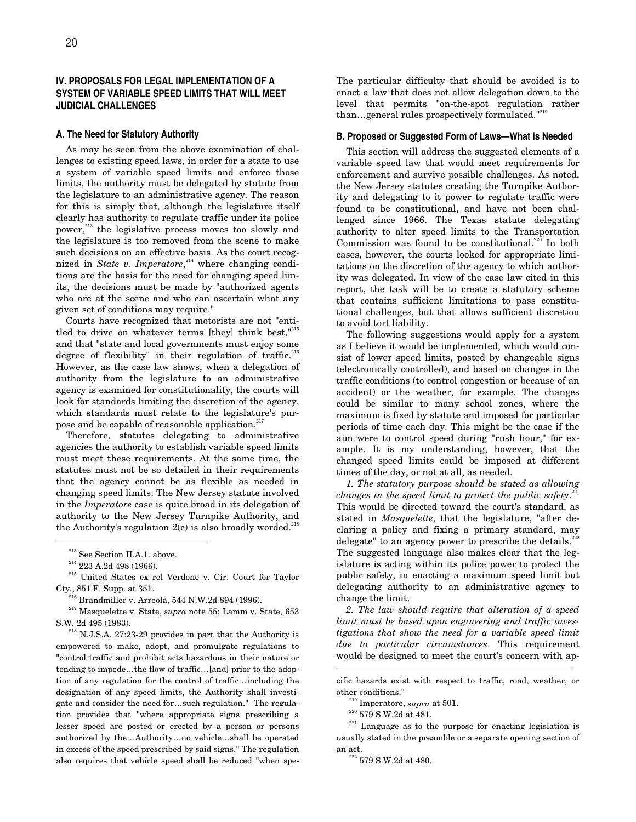# **IV. PROPOSALS FOR LEGAL IMPLEMENTATION OF A SYSTEM OF VARIABLE SPEED LIMITS THAT WILL MEET JUDICIAL CHALLENGES**

#### **A. The Need for Statutory Authority**

As may be seen from the above examination of challenges to existing speed laws, in order for a state to use a system of variable speed limits and enforce those limits, the authority must be delegated by statute from the legislature to an administrative agency. The reason for this is simply that, although the legislature itself clearly has authority to regulate traffic under its police power, $213$  the legislative process moves too slowly and the legislature is too removed from the scene to make such decisions on an effective basis. As the court recognized in *State v. Imperatore*,<sup>214</sup> where changing conditions are the basis for the need for changing speed limits, the decisions must be made by "authorized agents who are at the scene and who can ascertain what any given set of conditions may require."

Courts have recognized that motorists are not "entitled to drive on whatever terms [they] think best, $"^{215}$ and that "state and local governments must enjoy some degree of flexibility" in their regulation of traffic. $216$ However, as the case law shows, when a delegation of authority from the legislature to an administrative agency is examined for constitutionality, the courts will look for standards limiting the discretion of the agency, which standards must relate to the legislature's purpose and be capable of reasonable application.<sup>217</sup>

Therefore, statutes delegating to administrative agencies the authority to establish variable speed limits must meet these requirements. At the same time, the statutes must not be so detailed in their requirements that the agency cannot be as flexible as needed in changing speed limits. The New Jersey statute involved in the *Imperatore* case is quite broad in its delegation of authority to the New Jersey Turnpike Authority, and the Authority's regulation  $2(c)$  is also broadly worded.<sup>21</sup>

215 United States ex rel Verdone v. Cir. Court for Taylor Cty*.*, 851 F. Supp. at 351.

217 Masquelette v. State, *supra* note 55; Lamm v. State, 653 S.W. 2d 495 (1983).

<sup>218</sup> N.J.S.A. 27:23-29 provides in part that the Authority is empowered to make, adopt, and promulgate regulations to "control traffic and prohibit acts hazardous in their nature or tending to impede…the flow of traffic…[and] prior to the adoption of any regulation for the control of traffic…including the designation of any speed limits, the Authority shall investigate and consider the need for…such regulation." The regulation provides that "where appropriate signs prescribing a lesser speed are posted or erected by a person or persons authorized by the…Authority…no vehicle…shall be operated in excess of the speed prescribed by said signs." The regulation also requires that vehicle speed shall be reduced "when speThe particular difficulty that should be avoided is to enact a law that does not allow delegation down to the level that permits "on-the-spot regulation rather than...general rules prospectively formulated."<sup>219</sup>

## **B. Proposed or Suggested Form of Laws—What is Needed**

This section will address the suggested elements of a variable speed law that would meet requirements for enforcement and survive possible challenges. As noted, the New Jersey statutes creating the Turnpike Authority and delegating to it power to regulate traffic were found to be constitutional, and have not been challenged since 1966. The Texas statute delegating authority to alter speed limits to the Transportation Commission was found to be constitutional.<sup>220</sup> In both cases, however, the courts looked for appropriate limitations on the discretion of the agency to which authority was delegated. In view of the case law cited in this report, the task will be to create a statutory scheme that contains sufficient limitations to pass constitutional challenges, but that allows sufficient discretion to avoid tort liability.

The following suggestions would apply for a system as I believe it would be implemented, which would consist of lower speed limits, posted by changeable signs (electronically controlled), and based on changes in the traffic conditions (to control congestion or because of an accident) or the weather, for example. The changes could be similar to many school zones, where the maximum is fixed by statute and imposed for particular periods of time each day. This might be the case if the aim were to control speed during "rush hour," for example. It is my understanding, however, that the changed speed limits could be imposed at different times of the day, or not at all, as needed.

*1. The statutory purpose should be stated as allowing changes in the speed limit to protect the public safety*. 221 This would be directed toward the court's standard, as stated in *Masquelette*, that the legislature, "after declaring a policy and fixing a primary standard, may delegate" to an agency power to prescribe the details. $222$ The suggested language also makes clear that the legislature is acting within its police power to protect the public safety, in enacting a maximum speed limit but delegating authority to an administrative agency to change the limit.

*2. The law should require that alteration of a speed limit must be based upon engineering and traffic investigations that show the need for a variable speed limit due to particular circumstances*. This requirement would be designed to meet the court's concern with ap-

1

 $\ensuremath{^{213}}$  See Section II.A.1. above.

 $\substack{214 \\ 223}$  A.2d 498 (1966).

 $2^{216}$  Brandmiller v. Arreola, 544 N.W.2d 894 (1996).

cific hazards exist with respect to traffic, road, weather, or other conditions."

<sup>219</sup> Imperatore, *supra* at 501.

 $\>^{220}$  579 S.W.2d at 481.

 $221$  Language as to the purpose for enacting legislation is usually stated in the preamble or a separate opening section of an act.

 $\substack{222\\222}$  579 S.W.2d at 480.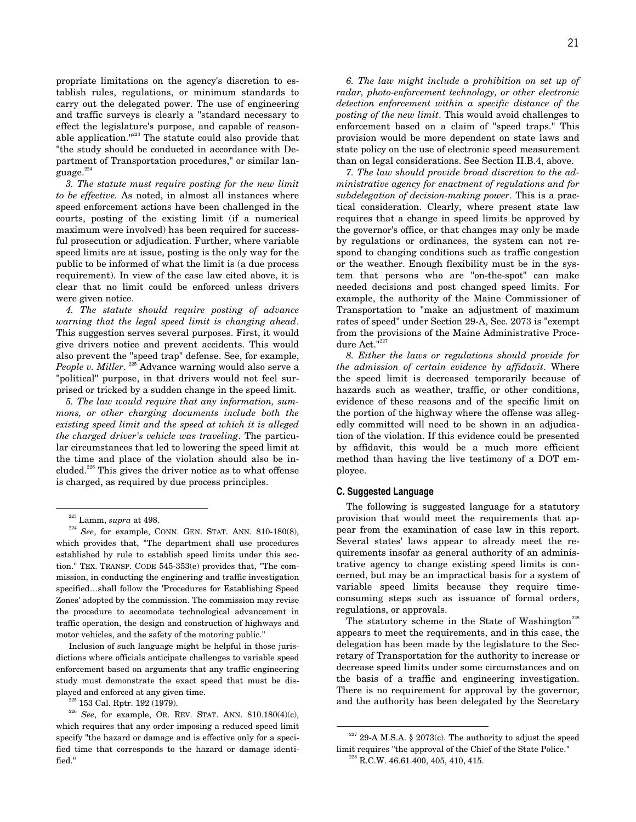effect the legislature's purpose, and capable of reasonable application."223 The statute could also provide that "the study should be conducted in accordance with Department of Transportation procedures," or similar language.<sup>22</sup>

*3. The statute must require posting for the new limit to be effective.* As noted, in almost all instances where speed enforcement actions have been challenged in the courts, posting of the existing limit (if a numerical maximum were involved) has been required for successful prosecution or adjudication. Further, where variable speed limits are at issue, posting is the only way for the public to be informed of what the limit is (a due process requirement). In view of the case law cited above, it is clear that no limit could be enforced unless drivers were given notice.

*4. The statute should require posting of advance warning that the legal speed limit is changing ahead*. This suggestion serves several purposes. First, it would give drivers notice and prevent accidents. This would also prevent the "speed trap" defense. See, for example, *People v. Miller.* <sup>225</sup> Advance warning would also serve a "political" purpose, in that drivers would not feel surprised or tricked by a sudden change in the speed limit.

*5. The law would require that any information, summons, or other charging documents include both the existing speed limit and the speed at which it is alleged the charged driver's vehicle was traveling*. The particular circumstances that led to lowering the speed limit at the time and place of the violation should also be included.<sup>226</sup> This gives the driver notice as to what offense is charged, as required by due process principles.

Inclusion of such language might be helpful in those jurisdictions where officials anticipate challenges to variable speed enforcement based on arguments that any traffic engineering study must demonstrate the exact speed that must be displayed and enforced at any given time.

 $25$  153 Cal. Rptr. 192 (1979).

*6. The law might include a prohibition on set up of radar, photo-enforcement technology, or other electronic detection enforcement within a specific distance of the posting of the new limit*. This would avoid challenges to enforcement based on a claim of "speed traps." This provision would be more dependent on state laws and state policy on the use of electronic speed measurement than on legal considerations. See Section II.B.4, above.

*7. The law should provide broad discretion to the administrative agency for enactment of regulations and for subdelegation of decision-making power*. This is a practical consideration. Clearly, where present state law requires that a change in speed limits be approved by the governor's office, or that changes may only be made by regulations or ordinances, the system can not respond to changing conditions such as traffic congestion or the weather. Enough flexibility must be in the system that persons who are "on-the-spot" can make needed decisions and post changed speed limits. For example, the authority of the Maine Commissioner of Transportation to "make an adjustment of maximum rates of speed" under Section 29-A, Sec. 2073 is "exempt from the provisions of the Maine Administrative Procedure Act."<sup>227</sup>

*8. Either the laws or regulations should provide for the admission of certain evidence by affidavit*. Where the speed limit is decreased temporarily because of hazards such as weather, traffic, or other conditions, evidence of these reasons and of the specific limit on the portion of the highway where the offense was allegedly committed will need to be shown in an adjudication of the violation. If this evidence could be presented by affidavit, this would be a much more efficient method than having the live testimony of a DOT employee.

#### **C. Suggested Language**

The following is suggested language for a statutory provision that would meet the requirements that appear from the examination of case law in this report. Several states' laws appear to already meet the requirements insofar as general authority of an administrative agency to change existing speed limits is concerned, but may be an impractical basis for a system of variable speed limits because they require timeconsuming steps such as issuance of formal orders, regulations, or approvals.

The statutory scheme in the State of Washington<sup>228</sup> appears to meet the requirements, and in this case, the delegation has been made by the legislature to the Secretary of Transportation for the authority to increase or decrease speed limits under some circumstances and on the basis of a traffic and engineering investigation. There is no requirement for approval by the governor, and the authority has been delegated by the Secretary

 <sup>223</sup> Lamm, *supra* at 498.

<sup>224</sup> *See*, for example, CONN. GEN. STAT. ANN. 810-180(8), which provides that, "The department shall use procedures established by rule to establish speed limits under this section." TEX. TRANSP. CODE 545-353(e) provides that, "The commission, in conducting the enginering and traffic investigation specified…shall follow the 'Procedures for Establishing Speed Zones' adopted by the commission. The commission may revise the procedure to accomodate technological advancement in traffic operation, the design and construction of highways and motor vehicles, and the safety of the motoring public."

<sup>226</sup> *See*, for example, OR. REV. STAT. ANN. 810.180(4)(c), which requires that any order imposing a reduced speed limit specify "the hazard or damage and is effective only for a specified time that corresponds to the hazard or damage identified."

 $^{227}$  29-A M.S.A. § 2073(c). The authority to adjust the speed limit requires "the approval of the Chief of the State Police."  $228$  R.C.W. 46.61.400, 405, 410, 415.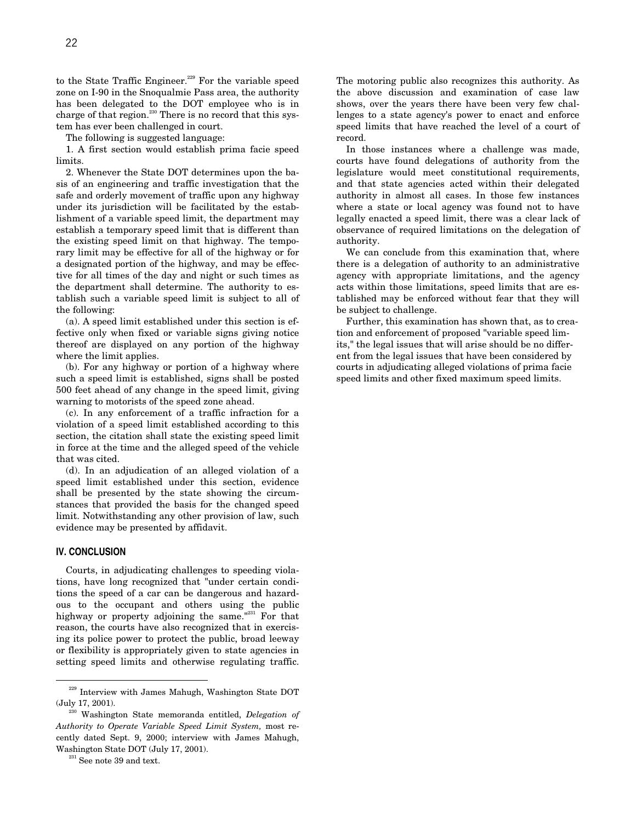to the State Traffic Engineer.<sup>229</sup> For the variable speed zone on I-90 in the Snoqualmie Pass area, the authority has been delegated to the DOT employee who is in charge of that region.<sup>230</sup> There is no record that this system has ever been challenged in court.

The following is suggested language:

1. A first section would establish prima facie speed limits.

2. Whenever the State DOT determines upon the basis of an engineering and traffic investigation that the safe and orderly movement of traffic upon any highway under its jurisdiction will be facilitated by the establishment of a variable speed limit, the department may establish a temporary speed limit that is different than the existing speed limit on that highway. The temporary limit may be effective for all of the highway or for a designated portion of the highway, and may be effective for all times of the day and night or such times as the department shall determine. The authority to establish such a variable speed limit is subject to all of the following:

(a). A speed limit established under this section is effective only when fixed or variable signs giving notice thereof are displayed on any portion of the highway where the limit applies.

(b). For any highway or portion of a highway where such a speed limit is established, signs shall be posted 500 feet ahead of any change in the speed limit, giving warning to motorists of the speed zone ahead.

(c). In any enforcement of a traffic infraction for a violation of a speed limit established according to this section, the citation shall state the existing speed limit in force at the time and the alleged speed of the vehicle that was cited.

(d). In an adjudication of an alleged violation of a speed limit established under this section, evidence shall be presented by the state showing the circumstances that provided the basis for the changed speed limit. Notwithstanding any other provision of law, such evidence may be presented by affidavit.

# **IV. CONCLUSION**

Courts, in adjudicating challenges to speeding violations, have long recognized that "under certain conditions the speed of a car can be dangerous and hazardous to the occupant and others using the public highway or property adjoining the same." $^{231}$  For that reason, the courts have also recognized that in exercising its police power to protect the public, broad leeway or flexibility is appropriately given to state agencies in setting speed limits and otherwise regulating traffic. The motoring public also recognizes this authority. As the above discussion and examination of case law shows, over the years there have been very few challenges to a state agency's power to enact and enforce speed limits that have reached the level of a court of record.

In those instances where a challenge was made, courts have found delegations of authority from the legislature would meet constitutional requirements, and that state agencies acted within their delegated authority in almost all cases. In those few instances where a state or local agency was found not to have legally enacted a speed limit, there was a clear lack of observance of required limitations on the delegation of authority.

We can conclude from this examination that, where there is a delegation of authority to an administrative agency with appropriate limitations, and the agency acts within those limitations, speed limits that are established may be enforced without fear that they will be subject to challenge.

Further, this examination has shown that, as to creation and enforcement of proposed "variable speed limits," the legal issues that will arise should be no different from the legal issues that have been considered by courts in adjudicating alleged violations of prima facie speed limits and other fixed maximum speed limits.

<sup>&</sup>lt;sup>229</sup> Interview with James Mahugh, Washington State DOT (July 17, 2001).

<sup>230</sup> Washington State memoranda entitled, *Delegation of Authority to Operate Variable Speed Limit System,* most recently dated Sept. 9, 2000; interview with James Mahugh, Washington State DOT (July 17, 2001).

 $231$  See note 39 and text.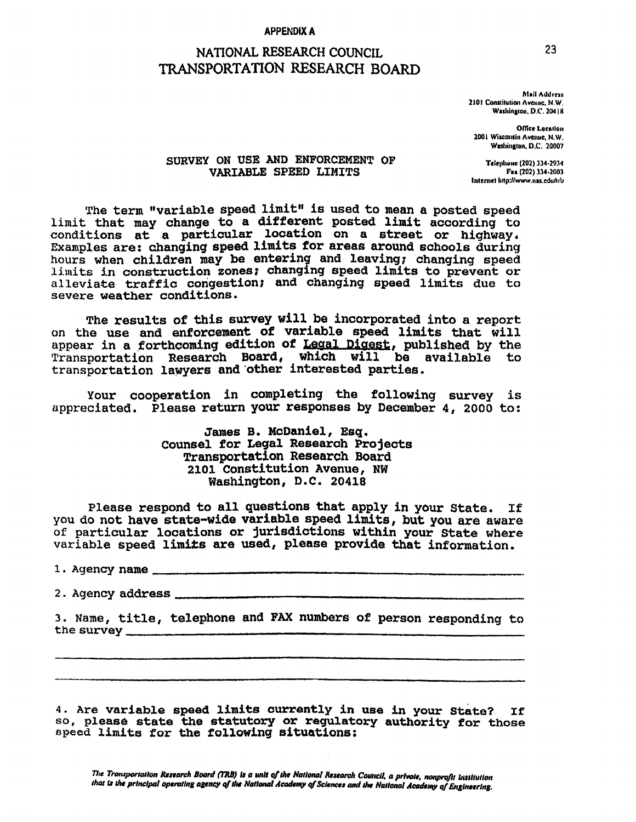## **APPENDIX A**

# NATIONAL RESEARCH COUNCIL TRANSPORTATION RESEARCH BOARD

**Mail Address** 2101 Constitution Avenue, N.W. Washington, D.C. 20418

**Office Location** 2001 Wisconsin Avenue, N.W. Washington, D.C. 20007

# SURVEY ON USE AND ENFORCEMENT OF VARIABLE SPEED LIMITS

Telephone (202) 334-2934 Fax (202) 334-2003 Internet littp://www.nas.edu/trb

The term "variable speed limit" is used to mean a posted speed limit that may change to a different posted limit according to conditions at a particular location on a street or highway. Examples are: changing speed limits for areas around schools during hours when children may be entering and leaving; changing speed limits in construction zones; changing speed limits to prevent or alleviate traffic congestion; and changing speed limits due to severe weather conditions.

The results of this survey will be incorporated into a report on the use and enforcement of variable speed limits that will appear in a forthcoming edition of Legal Digest, published by the Transportation Research Board, which will be available to<br>transportation lawyers and other interested parties.

Your cooperation in completing the following survey is appreciated. Please return your responses by December 4, 2000 to:

> James B. McDaniel, Esq. Counsel for Legal Research Projects Transportation Research Board 2101 Constitution Avenue, NW Washington, D.C. 20418

Please respond to all questions that apply in your State. If you do not have state-wide variable speed limits, but you are aware of particular locations or jurisdictions within your State where variable speed limits are used, please provide that information.

2. Agency address \_\_\_\_\_\_\_\_\_

3. Name, title, telephone and FAX numbers of person responding to the survey

4. Are variable speed limits currently in use in your State? If so, please state the statutory or regulatory authority for those speed limits for the following situations: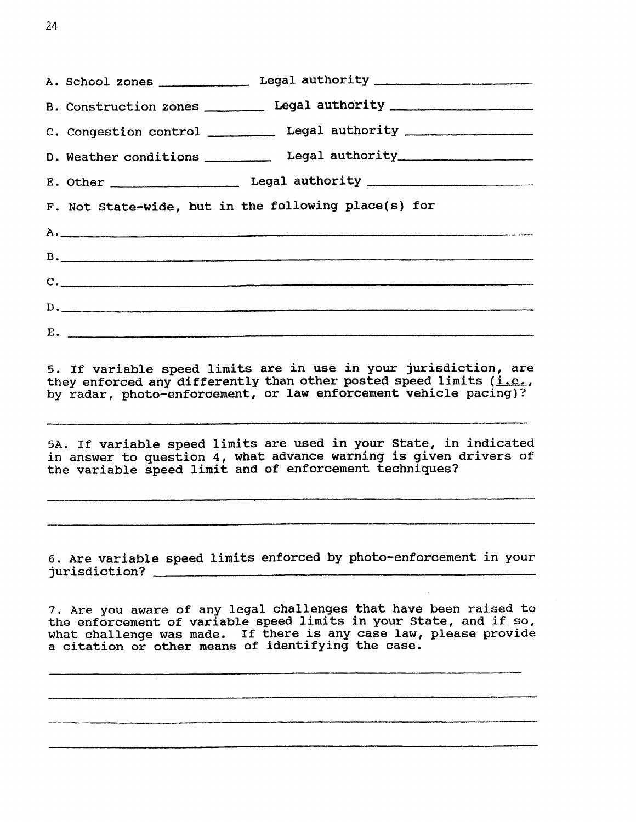| A. School zones _______________ Legal authority ________________________________                                                                                                                                                                                      |
|-----------------------------------------------------------------------------------------------------------------------------------------------------------------------------------------------------------------------------------------------------------------------|
| B. Construction zones __________ Legal authority _______________________________                                                                                                                                                                                      |
| C. Congestion control __________ Legal authority _______________________________                                                                                                                                                                                      |
| D. Weather conditions ____________ Legal authority _____________________________                                                                                                                                                                                      |
|                                                                                                                                                                                                                                                                       |
| F. Not State-wide, but in the following place(s) for                                                                                                                                                                                                                  |
|                                                                                                                                                                                                                                                                       |
| $\mathbf{B}$ , $\qquad \qquad$                                                                                                                                                                                                                                        |
| $\mathsf{C}$ . $\blacksquare$                                                                                                                                                                                                                                         |
| $D \cdot$ . The contract of the contract of the contract of the contract of the contract of the contract of the contract of the contract of the contract of the contract of the contract of the contract of the contract of the c                                     |
| $E.$ $\overline{\phantom{a}}$                                                                                                                                                                                                                                         |
| by radar, photo-enforcement, or law enforcement vehicle pacing)?<br>5A. If variable speed limits are used in your State, in indicated<br>in answer to question 4, what advance warning is given drivers of<br>the variable speed limit and of enforcement techniques? |
| 6. Are variable speed limits enforced by photo-enforcement in your                                                                                                                                                                                                    |
| 7. Are you aware of any legal challenges that have been raised to<br>the enforcement of variable speed limits in your State, and if so,<br>what challenge was made. If there is any case law, please provide<br>a citation or other means of identifying the case.    |
|                                                                                                                                                                                                                                                                       |
|                                                                                                                                                                                                                                                                       |
|                                                                                                                                                                                                                                                                       |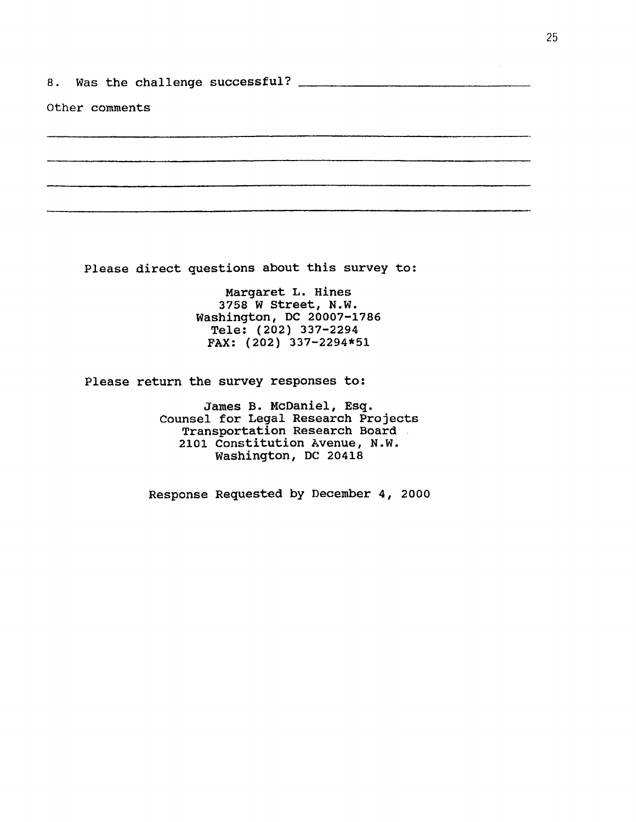8.

Other comments

Please direct questions about this survey to:

Margaret L. Hines 3758 W Street, N.W. Washington, DC 20007-1786 Tele: (202) 337-2294 FAX: (202) 337-2294\*51

Please return the survey responses to:

James B. McDaniel, Esq. Counsel for Legal Research Projects Transportation Research Board. 2101 Constitution Avenue, N.W. Washington, DC 20418

Response Requested by December 4, 2000

 $\hat{\mathcal{A}}$